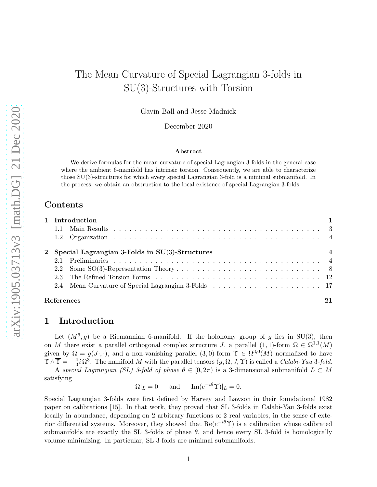Gavin Ball and Jesse Madnick

December 2020

#### Abstract

We derive formulas for the mean curvature of special Lagrangian 3-folds in the general case where the ambient 6-manifold has intrinsic torsion. Consequently, we are able to characterize those  $SU(3)$ -structures for which every special Lagrangian 3-fold is a minimal submanifold. In the process, we obtain an obstruction to the local existence of special Lagrangian 3-folds.

## Contents

|            |                                                     | 1 Introduction |  |  |  |  |
|------------|-----------------------------------------------------|----------------|--|--|--|--|
|            |                                                     |                |  |  |  |  |
|            |                                                     |                |  |  |  |  |
|            | 2 Special Lagrangian 3-Folds in $SU(3)$ -Structures |                |  |  |  |  |
|            |                                                     |                |  |  |  |  |
|            |                                                     |                |  |  |  |  |
|            |                                                     |                |  |  |  |  |
|            |                                                     |                |  |  |  |  |
| References |                                                     |                |  |  |  |  |

## <span id="page-0-0"></span>1 Introduction

Let  $(M^6, g)$  be a Riemannian 6-manifold. If the holonomy group of g lies in SU(3), then on M there exist a parallel orthogonal complex structure J, a parallel  $(1,1)$ -form  $\Omega \in \Omega^{1,1}(M)$ given by  $\Omega = g(J \cdot, \cdot)$ , and a non-vanishing parallel  $(3,0)$ -form  $\Upsilon \in \Omega^{3,0}(M)$  normalized to have  $\Upsilon \wedge \overline{\Upsilon} = -\frac{4}{3}$  $\frac{4}{3}i\Omega^3$ . The manifold M with the parallel tensors  $(g, \Omega, J, \Upsilon)$  is called a *Calabi-Yau* 3-fold.

A special Lagrangian (SL) 3-fold of phase  $\theta \in [0, 2\pi)$  is a 3-dimensional submanifold  $L \subset M$ satisfying

 $\Omega|_L = 0$  and  $\text{Im}(e^{-i\theta} \Upsilon)|_L = 0.$ 

Special Lagrangian 3-folds were first defined by Harvey and Lawson in their foundational 1982 paper on calibrations [\[15\]](#page-21-0). In that work, they proved that SL 3-folds in Calabi-Yau 3-folds exist locally in abundance, depending on 2 arbitrary functions of 2 real variables, in the sense of exterior differential systems. Moreover, they showed that  $\text{Re}(e^{-i\theta}\Upsilon)$  is a calibration whose calibrated submanifolds are exactly the SL 3-folds of phase  $\theta$ , and hence every SL 3-fold is homologically volume-minimizing. In particular, SL 3-folds are minimal submanifolds.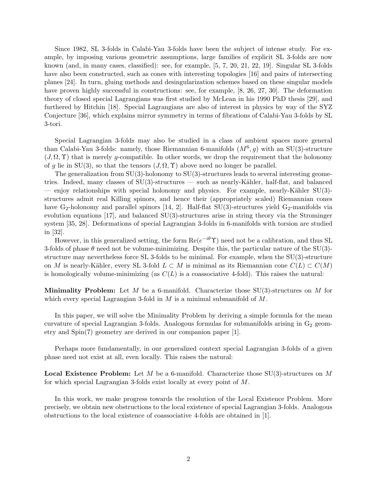Since 1982, SL 3-folds in Calabi-Yau 3-folds have been the subject of intense study. For example, by imposing various geometric assumptions, large families of explicit SL 3-folds are now known (and, in many cases, classified): see, for example, [\[5,](#page-21-1) [7,](#page-21-2) [20,](#page-21-3) [21,](#page-22-0) [22,](#page-22-1) [19\]](#page-21-4). Singular SL 3-folds have also been constructed, such as cones with interesting topologies [\[16\]](#page-21-5) and pairs of intersecting planes [\[24\]](#page-22-2). In turn, gluing methods and desingularization schemes based on these singular models have proven highly successful in constructions: see, for example, [\[8,](#page-21-6) [26,](#page-22-3) [27,](#page-22-4) [30\]](#page-22-5). The deformation theory of closed special Lagrangians was first studied by McLean in his 1990 PhD thesis [\[29\]](#page-22-6), and furthered by Hitchin [\[18\]](#page-21-7). Special Lagrangians are also of interest in physics by way of the SYZ Conjecture [\[36\]](#page-22-7), which explains mirror symmetry in terms of fibrations of Calabi-Yau 3-folds by SL 3-tori.

Special Lagrangian 3-folds may also be studied in a class of ambient spaces more general than Calabi-Yau 3-folds: namely, those Riemannian 6-manifolds  $(M^6, g)$  with an SU(3)-structure  $(J, \Omega, \Upsilon)$  that is merely g-compatible. In other words, we drop the requirement that the holonomy of g lie in SU(3), so that the tensors  $(J, \Omega, \Upsilon)$  above need no longer be parallel.

The generalization from  $SU(3)$ -holonomy to  $SU(3)$ -structures leads to several interesting geometries. Indeed, many classes of  $SU(3)$ -structures — such as nearly-Kähler, half-flat, and balanced — enjoy relationships with special holonomy and physics. For example, nearly-Kähler  $SU(3)$ structures admit real Killing spinors, and hence their (appropriately scaled) Riemannian cones have  $G_2$ -holonomy and parallel spinors [\[14,](#page-21-8) [2\]](#page-20-1). Half-flat SU(3)-structures yield  $G_2$ -manifolds via evolution equations [\[17\]](#page-21-9), and balanced SU(3)-structures arise in string theory via the Strominger system [\[35,](#page-22-8) [28\]](#page-22-9). Deformations of special Lagrangian 3-folds in 6-manifolds with torsion are studied in [\[32\]](#page-22-10).

However, in this generalized setting, the form  $\text{Re}(e^{-i\theta}\Upsilon)$  need not be a calibration, and thus SL 3-folds of phase  $\theta$  need not be volume-minimizing. Despite this, the particular nature of the SU(3)structure may nevertheless force  $SL$  3-folds to be minimal. For example, when the  $SU(3)$ -structure on M is nearly-Kähler, every SL 3-fold  $L \subset M$  is minimal as its Riemannian cone  $C(L) \subset C(M)$ is homologically volume-minimizing (as  $C(L)$  is a coassociative 4-fold). This raises the natural:

**Minimality Problem:** Let M be a 6-manifold. Characterize those  $SU(3)$ -structures on M for which every special Lagrangian 3-fold in  $M$  is a minimal submanifold of  $M$ .

In this paper, we will solve the Minimality Problem by deriving a simple formula for the mean curvature of special Lagrangian 3-folds. Analogous formulas for submanifolds arising in  $G_2$  geometry and Spin(7) geometry are derived in our companion paper [\[1\]](#page-20-2).

Perhaps more fundamentally, in our generalized context special Lagrangian 3-folds of a given phase need not exist at all, even locally. This raises the natural:

**Local Existence Problem:** Let M be a 6-manifold. Characterize those  $SU(3)$ -structures on M for which special Lagrangian 3-folds exist locally at every point of M.

In this work, we make progress towards the resolution of the Local Existence Problem. More precisely, we obtain new obstructions to the local existence of special Lagrangian 3-folds. Analogous obstructions to the local existence of coassociative 4-folds are obtained in [\[1\]](#page-20-2).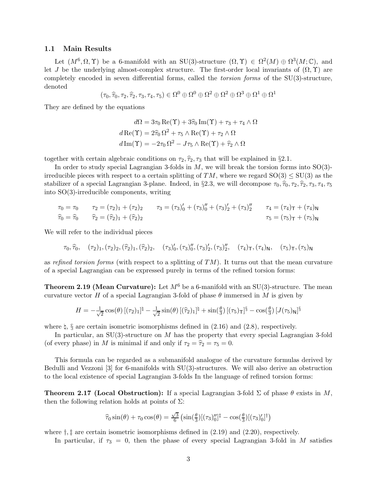### <span id="page-2-0"></span>1.1 Main Results

Let  $(M^6, \Omega, \Upsilon)$  be a 6-manifold with an SU(3)-structure  $(\Omega, \Upsilon) \in \Omega^2(M) \oplus \Omega^3(M; \mathbb{C})$ , and let J be the underlying almost-complex structure. The first-order local invariants of  $(\Omega, \Upsilon)$  are completely encoded in seven differential forms, called the *torsion forms* of the SU(3)-structure, denoted

$$
(\tau_0, \widehat{\tau}_0, \tau_2, \widehat{\tau}_2, \tau_3, \tau_4, \tau_5) \in \Omega^0 \oplus \Omega^0 \oplus \Omega^2 \oplus \Omega^2 \oplus \Omega^3 \oplus \Omega^1 \oplus \Omega^1
$$

They are defined by the equations

$$
d\Omega = 3\tau_0 \operatorname{Re}(\Upsilon) + 3\hat{\tau}_0 \operatorname{Im}(\Upsilon) + \tau_3 + \tau_4 \wedge \Omega
$$

$$
d\operatorname{Re}(\Upsilon) = 2\hat{\tau}_0 \Omega^2 + \tau_5 \wedge \operatorname{Re}(\Upsilon) + \tau_2 \wedge \Omega
$$

$$
d\operatorname{Im}(\Upsilon) = -2\tau_0 \Omega^2 - J\tau_5 \wedge \operatorname{Re}(\Upsilon) + \hat{\tau}_2 \wedge \Omega
$$

together with certain algebraic conditions on  $\tau_2, \hat{\tau}_2, \tau_3$  that will be explained in §[2.1.](#page-3-2)

In order to study special Lagrangian 3-folds in  $M$ , we will break the torsion forms into  $SO(3)$ irreducible pieces with respect to a certain splitting of TM, where we regard  $SO(3) \le SU(3)$  as the stabilizer of a special Lagrangian 3-plane. Indeed, in §2.3, we will decompose  $\tau_0, \hat{\tau}_0, \tau_2, \hat{\tau}_2, \tau_3, \tau_4, \tau_5$ into SO(3)-irreducible components, writing

$$
\tau_0 = \tau_0 \qquad \tau_2 = (\tau_2)_1 + (\tau_2)_2 \qquad \tau_3 = (\tau_3)_0' + (\tau_3)_0'' + (\tau_3)_2' + (\tau_3)_2'' \qquad \tau_4 = (\tau_4)_T + (\tau_4)_N
$$
  

$$
\hat{\tau}_0 = \hat{\tau}_0 \qquad \hat{\tau}_2 = (\hat{\tau}_2)_1 + (\hat{\tau}_2)_2 \qquad \tau_5 = (\tau_5)_T + (\tau_5)_N
$$

We will refer to the individual pieces

$$
\tau_0, \hat{\tau}_0, \quad (\tau_2)_1, (\tau_2)_2, (\hat{\tau}_2)_1, (\hat{\tau}_2)_2, \quad (\tau_3)_0', (\tau_3)_0'', (\tau_3)_2', (\tau_3)_2'', \quad (\tau_4)_T, (\tau_4)_N, \quad (\tau_5)_T, (\tau_5)_N
$$

as refined torsion forms (with respect to a splitting of  $TM$ ). It turns out that the mean curvature of a special Lagrangian can be expressed purely in terms of the refined torsion forms:

**Theorem [2.19](#page-19-0) (Mean Curvature):** Let  $M^6$  be a 6-manifold with an SU(3)-structure. The mean curvature vector H of a special Lagrangian 3-fold of phase  $\theta$  immersed in M is given by

$$
H = -\frac{1}{\sqrt{2}}\cos(\theta)\left[ (\tau_2)_1\right]^{\natural} - \frac{1}{\sqrt{2}}\sin(\theta)\left[ (\widehat{\tau}_2)_1\right]^{\natural} + \sin(\frac{\theta}{3})\left[ (\tau_5)_\mathsf{T}\right]^{\S} - \cos(\frac{\theta}{3})\left[ J(\tau_5)_\mathsf{N}\right]^{\S}
$$

where  $\natural$ ,  $\S$  are certain isometric isomorphisms defined in [\(2.16\)](#page-10-0) and [\(2.8\)](#page-8-0), respectively.

In particular, an SU(3)-structure on M has the property that every special Lagrangian 3-fold (of every phase) in M is minimal if and only if  $\tau_2 = \hat{\tau}_2 = \tau_5 = 0$ .

This formula can be regarded as a submanifold analogue of the curvature formulas derived by Bedulli and Vezzoni [\[3\]](#page-21-10) for 6-manifolds with SU(3)-structures. We will also derive an obstruction to the local existence of special Lagrangian 3-folds In the language of refined torsion forms:

**Theorem [2.17](#page-18-0) (Local Obstruction):** If a special Lagrangian 3-fold  $\Sigma$  of phase  $\theta$  exists in M, then the following relation holds at points of  $\Sigma$ :

$$
\widehat{\tau}_0 \sin(\theta) + \tau_0 \cos(\theta) = \frac{\sqrt{3}}{6} \left( \sin\left(\frac{\theta}{3}\right) [(\tau_3)_0'']^{\ddagger} - \cos\left(\frac{\theta}{3}\right) [(\tau_3)_0']^{\dagger} \right)
$$

where  $\dagger$ ,  $\dagger$  are certain isometric isomorphisms defined in  $(2.19)$  and  $(2.20)$ , respectively.

In particular, if  $\tau_3 = 0$ , then the phase of every special Lagrangian 3-fold in M satisfies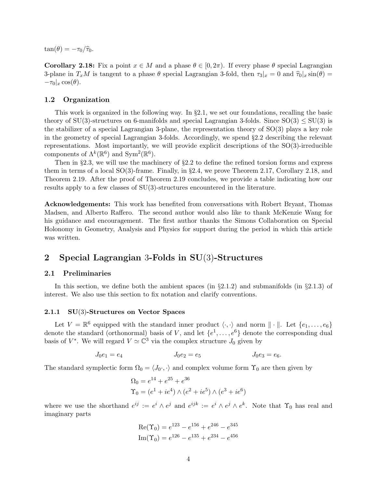$\tan(\theta) = -\tau_0/\widehat{\tau}_0.$ 

**Corollary [2.18:](#page-18-1)** Fix a point  $x \in M$  and a phase  $\theta \in [0, 2\pi)$ . If every phase  $\theta$  special Lagrangian 3-plane in  $T_xM$  is tangent to a phase  $\theta$  special Lagrangian 3-fold, then  $\tau_3|_x=0$  and  $\hat{\tau}_0|_x \sin(\theta) =$  $-\tau_0|_x \cos(\theta).$ 

## <span id="page-3-0"></span>1.2 Organization

This work is organized in the following way. In  $\S 2.1$ , we set our foundations, recalling the basic theory of  $SU(3)$ -structures on 6-manifolds and special Lagrangian 3-folds. Since  $SO(3) \leq SU(3)$  is the stabilizer of a special Lagrangian 3-plane, the representation theory of SO(3) plays a key role in the geometry of special Lagrangian 3-folds. Accordingly, we spend §[2.2](#page-7-0) describing the relevant representations. Most importantly, we will provide explicit descriptions of the SO(3)-irreducible components of  $\Lambda^k(\mathbb{R}^6)$  and  $Sym^2(\mathbb{R}^6)$ .

Then in §[2.3,](#page-11-0) we will use the machinery of §[2.2](#page-7-0) to define the refined torsion forms and express them in terms of a local SO(3)-frame. Finally, in §[2.4,](#page-16-0) we prove Theorem [2.17,](#page-18-0) Corollary [2.18,](#page-18-1) and Theorem [2.19.](#page-19-0) After the proof of Theorem [2.19](#page-19-0) concludes, we provide a table indicating how our results apply to a few classes of SU(3)-structures encountered in the literature.

Acknowledgements: This work has benefited from conversations with Robert Bryant, Thomas Madsen, and Alberto Raffero. The second author would also like to thank McKenzie Wang for his guidance and encouragement. The first author thanks the Simons Collaboration on Special Holonomy in Geometry, Analysis and Physics for support during the period in which this article was written.

# <span id="page-3-1"></span>2 Special Lagrangian 3-Folds in SU(3)-Structures

## <span id="page-3-2"></span>2.1 Preliminaries

In this section, we define both the ambient spaces (in  $\S2.1.2$ ) and submanifolds (in  $\S2.1.3$ ) of interest. We also use this section to fix notation and clarify conventions.

### 2.1.1 SU(3)-Structures on Vector Spaces

Let  $V = \mathbb{R}^6$  equipped with the standard inner product  $\langle \cdot, \cdot \rangle$  and norm  $\|\cdot\|$ . Let  $\{e_1, \ldots, e_6\}$ denote the standard (orthonormal) basis of V, and let  $\{e^1, \ldots, e^6\}$  denote the corresponding dual basis of  $V^*$ . We will regard  $V \simeq \mathbb{C}^3$  via the complex structure  $J_0$  given by

$$
J_0e_1 = e_4 \t J_0e_2 = e_5 \t J_0e_3 = e_6.
$$

The standard symplectic form  $\Omega_0 = \langle J_0, \cdot \rangle$  and complex volume form  $\Upsilon_0$  are then given by

$$
\Omega_0 = e^{14} + e^{25} + e^{36}
$$
  
\n
$$
\Upsilon_0 = (e^1 + ie^4) \wedge (e^2 + ie^5) \wedge (e^3 + ie^6)
$$

where we use the shorthand  $e^{ij} := e^i \wedge e^j$  and  $e^{ijk} := e^i \wedge e^j \wedge e^k$ . Note that  $\Upsilon_0$  has real and imaginary parts

$$
Re(\Upsilon_0) = e^{123} - e^{156} + e^{246} - e^{345}
$$

$$
Im(\Upsilon_0) = e^{126} - e^{135} + e^{234} - e^{456}
$$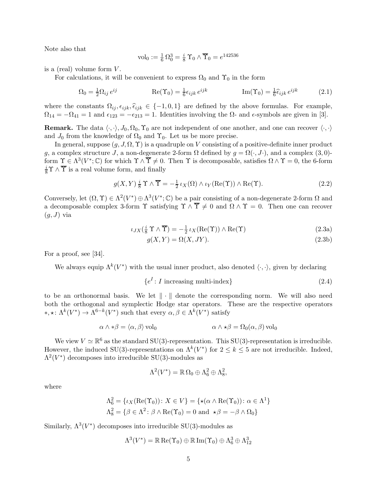Note also that

<span id="page-4-3"></span>
$$
\mathrm{vol}_0:=\tfrac{1}{6}\,\Omega_0^3=\tfrac{i}{8}\,\Upsilon_0\wedge\overline{\Upsilon}_0=e^{142536}
$$

is a (real) volume form  $V$ .

For calculations, it will be convenient to express  $\Omega_0$  and  $\Upsilon_0$  in the form

$$
\Omega_0 = \frac{1}{2} \Omega_{ij} e^{ij} \qquad \qquad \text{Re}(\Upsilon_0) = \frac{1}{6} \epsilon_{ijk} e^{ijk} \qquad \qquad \text{Im}(\Upsilon_0) = \frac{1}{6} \widehat{\epsilon}_{ijk} e^{ijk} \qquad (2.1)
$$

where the constants  $\Omega_{ij}, \epsilon_{ijk}, \hat{\epsilon}_{ijk} \in \{-1, 0, 1\}$  are defined by the above formulas. For example,  $\Omega_{14} = -\Omega_{41} = 1$  and  $\epsilon_{123} = -\epsilon_{213} = 1$ . Identities involving the  $\Omega$ - and  $\epsilon$ -symbols are given in [\[3\]](#page-21-10).

**Remark.** The data  $\langle \cdot, \cdot \rangle, J_0, \Omega_0, \Upsilon_0$  are not independent of one another, and one can recover  $\langle \cdot, \cdot \rangle$ and  $J_0$  from the knowledge of  $\Omega_0$  and  $\Upsilon_0$ . Let us be more precise.

In general, suppose  $(g, J, \Omega, \Upsilon)$  is a quadruple on V consisting of a positive-definite inner product g, a complex structure J, a non-degenerate 2-form  $\Omega$  defined by  $g = \Omega(\cdot, J\cdot)$ , and a complex (3,0)form  $\Upsilon \in \Lambda^3(V^*; \mathbb{C})$  for which  $\Upsilon \wedge \overline{\Upsilon} \neq 0$ . Then  $\Upsilon$  is decomposable, satisfies  $\Omega \wedge \Upsilon = 0$ , the 6-form  $\frac{i}{8}\Upsilon \wedge \overline{\Upsilon}$  is a real volume form, and finally

$$
g(X,Y) \frac{i}{8} \Upsilon \wedge \overline{\Upsilon} = -\frac{1}{2} \iota_X(\Omega) \wedge \iota_Y(\text{Re}(\Upsilon)) \wedge \text{Re}(\Upsilon).
$$
 (2.2)

<span id="page-4-1"></span>Conversely, let  $(\Omega, \Upsilon) \in \Lambda^2(V^*) \oplus \Lambda^3(V^*; \mathbb{C})$  be a pair consisting of a non-degenerate 2-form  $\Omega$  and a decomposable complex 3-form  $\Upsilon$  satisfying  $\Upsilon \wedge \overline{\Upsilon} \neq 0$  and  $\Omega \wedge \Upsilon = 0$ . Then one can recover  $(g, J)$  via

$$
\iota_{JX}(\frac{i}{8}\Upsilon \wedge \overline{\Upsilon}) = -\frac{1}{2} \iota_X(\text{Re}(\Upsilon)) \wedge \text{Re}(\Upsilon) \tag{2.3a}
$$

<span id="page-4-0"></span>
$$
g(X,Y) = \Omega(X,JY). \tag{2.3b}
$$

For a proof, see [\[34\]](#page-22-11).

We always equip  $\Lambda^k(V^*)$  with the usual inner product, also denoted  $\langle \cdot, \cdot \rangle$ , given by declaring

<span id="page-4-2"></span>
$$
\{e^I : I \text{ increasing multi-index}\}\tag{2.4}
$$

to be an orthonormal basis. We let  $\|\cdot\|$  denote the corresponding norm. We will also need both the orthogonal and symplectic Hodge star operators. These are the respective operators <sup>\*</sup>, \*:  $\Lambda^k(V^*)$  →  $\Lambda^{6-k}(V^*)$  such that every  $\alpha, \beta \in \Lambda^k(V^*)$  satisfy

$$
\alpha \wedge * \beta = \langle \alpha, \beta \rangle \text{ vol}_0 \qquad \alpha \wedge * \beta = \Omega_0(\alpha, \beta) \text{ vol}_0
$$

We view  $V \simeq \mathbb{R}^6$  as the standard SU(3)-representation. This SU(3)-representation is irreducible. However, the induced SU(3)-representations on  $\Lambda^k(V^*)$  for  $2 \leq k \leq 5$  are not irreducible. Indeed,  $\Lambda^2(V^*)$  decomposes into irreducible SU(3)-modules as

$$
\Lambda^2(V^*) = \mathbb{R}\,\Omega_0 \oplus \Lambda_6^2 \oplus \Lambda_8^2,
$$

where

$$
\Lambda_6^2 = \{ \iota_X(\text{Re}(\Upsilon_0)) \colon X \in V \} = \{ \star(\alpha \wedge \text{Re}(\Upsilon_0)) \colon \alpha \in \Lambda^1 \}
$$
  

$$
\Lambda_8^2 = \{ \beta \in \Lambda^2 \colon \beta \wedge \text{Re}(\Upsilon_0) = 0 \text{ and } \star \beta = -\beta \wedge \Omega_0 \}
$$

Similarly,  $\Lambda^3(V^*)$  decomposes into irreducible SU(3)-modules as

$$
\Lambda^3(V^*)=\mathbb{R}\operatorname{Re}(\Upsilon_0)\oplus\mathbb{R}\operatorname{Im}(\Upsilon_0)\oplus\Lambda_6^3\oplus\Lambda_{12}^3
$$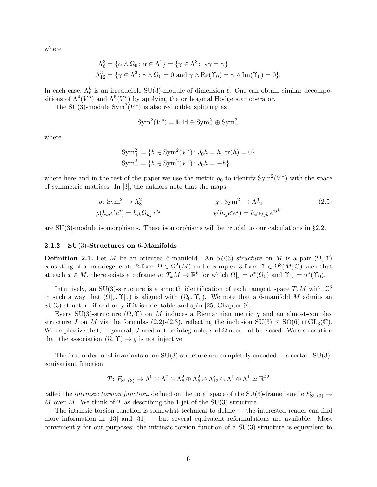where

$$
\Lambda_6^3 = \{ \alpha \wedge \Omega_0 \colon \alpha \in \Lambda^1 \} = \{ \gamma \in \Lambda^3 \colon \star \gamma = \gamma \}
$$
  

$$
\Lambda_{12}^3 = \{ \gamma \in \Lambda^3 \colon \gamma \wedge \Omega_0 = 0 \text{ and } \gamma \wedge \text{Re}(\Upsilon_0) = \gamma \wedge \text{Im}(\Upsilon_0) = 0 \}.
$$

In each case,  $\Lambda_{\ell}^{k}$  is an irreducible SU(3)-module of dimension  $\ell$ . One can obtain similar decompositions of  $\Lambda^4(V^*)$  and  $\Lambda^5(V^*)$  by applying the orthogonal Hodge star operator.

The SU(3)-module  $Sym^2(V^*)$  is also reducible, splitting as

<span id="page-5-0"></span>
$$
Sym^2(V^*) = \mathbb{R} \operatorname{Id} \oplus \operatorname{Sym}^2_+ \oplus \operatorname{Sym}^2_-
$$

where

$$
Sym_{+}^{2} = \{ h \in Sym^{2}(V^{*}) : J_{0}h = h, \text{tr}(h) = 0 \}
$$
  
\n
$$
Sym_{-}^{2} = \{ h \in Sym^{2}(V^{*}) : J_{0}h = -h \}.
$$

where here and in the rest of the paper we use the metric  $g_0$  to identify  $\text{Sym}^2(V^*)$  with the space of symmetric matrices. In [\[3\]](#page-21-10), the authors note that the maps

$$
\rho: \text{Sym}_{+}^{2} \to \Lambda_{8}^{2} \qquad \qquad \chi: \text{Sym}_{-}^{2} \to \Lambda_{12}^{3} \qquad (2.5)
$$
\n
$$
\rho(h_{ij}e^{i}e^{j}) = h_{ik}\Omega_{kj}e^{ij} \qquad \qquad \chi(h_{ij}e^{i}e^{j}) = h_{i\ell}\epsilon_{ijk}e^{ijk}
$$

are  $SU(3)$ -module isomorphisms. These isomorphisms will be crucial to our calculations in  $\S2.2$ .

#### 2.1.2 SU(3)-Structures on 6-Manifolds

**Definition 2.1.** Let M be an oriented 6-manifold. An  $SU(3)$ -structure on M is a pair  $(\Omega, \Upsilon)$ consisting of a non-degenerate 2-form  $\Omega \in \Omega^2(M)$  and a complex 3-form  $\Upsilon \in \Omega^3(M; \mathbb{C})$  such that at each  $x \in M$ , there exists a coframe  $u \colon T_xM \to \mathbb{R}^6$  for which  $\Omega|_x = u^*(\Omega_0)$  and  $\Upsilon|_x = u^*(\Upsilon_0)$ .

Intuitively, an SU(3)-structure is a smooth identification of each tangent space  $T_xM$  with  $\mathbb{C}^3$ in such a way that  $(\Omega |_x, \Upsilon |_x)$  is aligned with  $(\Omega_0, \Upsilon_0)$ . We note that a 6-manifold M admits an SU(3)-structure if and only if it is orientable and spin [\[25,](#page-22-12) Chapter 9].

Every SU(3)-structure  $(\Omega, \Upsilon)$  on M induces a Riemannian metric g and an almost-complex structure J on M via the formulas [\(2.2\)](#page-4-0)-[\(2.3\)](#page-4-1), reflecting the inclusion  $SU(3) \leq SO(6) \cap GL_3(\mathbb{C})$ . We emphasize that, in general, J need not be integrable, and  $\Omega$  need not be closed. We also caution that the association  $(\Omega, \Upsilon) \mapsto q$  is not injective.

The first-order local invariants of an  $SU(3)$ -structure are completely encoded in a certain  $SU(3)$ equivariant function

$$
T\colon F_{\mathrm{SU}(3)}\to\Lambda^0\oplus\Lambda^0\oplus\Lambda^2_8\oplus\Lambda^2_8\oplus\Lambda^3_{12}\oplus\Lambda^1\oplus\Lambda^1\simeq\mathbb{R}^{42}
$$

called the *intrinsic torsion function*, defined on the total space of the SU(3)-frame bundle  $F_{\text{SU(3)}} \rightarrow$ M over M. We think of T as describing the 1-jet of the  $SU(3)$ -structure.

The intrinsic torsion function is somewhat technical to define — the interested reader can find more information in  $[13]$  and  $[31]$  — but several equivalent reformulations are available. Most conveniently for our purposes: the intrinsic torsion function of a SU(3)-structure is equivalent to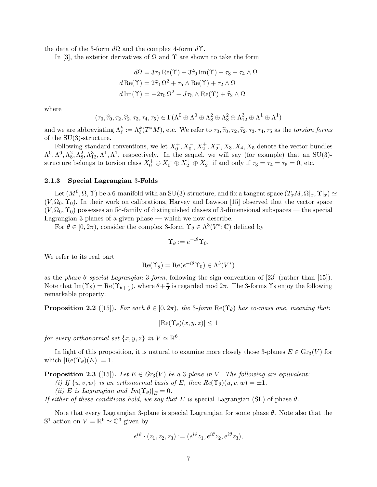the data of the 3-form  $d\Omega$  and the complex 4-form  $d\Upsilon$ .

In [\[3\]](#page-21-10), the exterior derivatives of  $\Omega$  and  $\Upsilon$  are shown to take the form

$$
d\Omega = 3\tau_0 \operatorname{Re}(\Upsilon) + 3\widehat{\tau}_0 \operatorname{Im}(\Upsilon) + \tau_3 + \tau_4 \wedge \Omega
$$

$$
d\operatorname{Re}(\Upsilon) = 2\widehat{\tau}_0 \Omega^2 + \tau_5 \wedge \operatorname{Re}(\Upsilon) + \tau_2 \wedge \Omega
$$

$$
d\operatorname{Im}(\Upsilon) = -2\tau_0 \Omega^2 - J\tau_5 \wedge \operatorname{Re}(\Upsilon) + \widehat{\tau}_2 \wedge \Omega
$$

where

$$
(\tau_0, \widehat{\tau}_0, \tau_2, \widehat{\tau}_2, \tau_3, \tau_4, \tau_5) \in \Gamma(\Lambda^0 \oplus \Lambda^0 \oplus \Lambda^2_8 \oplus \Lambda^2_8 \oplus \Lambda^3_{12} \oplus \Lambda^1 \oplus \Lambda^1)
$$

and we are abbreviating  $\Lambda_{\ell}^{k} := \Lambda_{\ell}^{k}(T^{*}M)$ , etc. We refer to  $\tau_0, \widehat{\tau}_0, \tau_2, \widehat{\tau}_2, \tau_3, \tau_4, \tau_5$  as the torsion forms of the SU(3)-structure.

Following standard conventions, we let  $X_0^+, X_0^-, X_2^+, X_2^-, X_3, X_4, X_5$  denote the vector bundles  $\Lambda^0$ ,  $\Lambda^0$ ,  $\Lambda^2_8$ ,  $\Lambda^3_{12}$ ,  $\Lambda^1$ ,  $\Lambda^1$ , respectively. In the sequel, we will say (for example) that an SU(3)structure belongs to torsion class  $X_0^+ \oplus X_0^- \oplus X_2^+ \oplus X_2^-$  if and only if  $\tau_3 = \tau_4 = \tau_5 = 0$ , etc.

#### 2.1.3 Special Lagrangian 3-Folds

Let  $(M^6, \Omega, \Upsilon)$  be a 6-manifold with an SU(3)-structure, and fix a tangent space  $(T_xM, \Omega|_x, \Upsilon|_x) \simeq$  $(V, \Omega_0, \Upsilon_0)$ . In their work on calibrations, Harvey and Lawson [\[15\]](#page-21-0) observed that the vector space  $(V, \Omega_0, \Upsilon_0)$  possesses an  $\mathbb{S}^1$ -family of distinguished classes of 3-dimensional subspaces — the special Lagrangian 3-planes of a given phase — which we now describe.

For  $\theta \in [0, 2\pi)$ , consider the complex 3-form  $\Upsilon_{\theta} \in \Lambda^3(V^*; \mathbb{C})$  defined by

$$
\Upsilon_{\theta} := e^{-i\theta} \Upsilon_0.
$$

We refer to its real part

$$
\operatorname{Re}(\Upsilon_{\theta}) = \operatorname{Re}(e^{-i\theta}\Upsilon_0) \in \Lambda^3(V^*)
$$

as the phase  $\theta$  special Lagrangian 3-form, following the sign convention of [\[23\]](#page-22-14) (rather than [\[15\]](#page-21-0)). Note that  $\text{Im}(\Upsilon_{\theta}) = \text{Re}(\Upsilon_{\theta+\frac{\pi}{2}}),$  where  $\theta+\frac{\pi}{2}$  $\frac{\pi}{2}$  is regarded mod  $2\pi$ . The 3-forms  $\Upsilon_{\theta}$  enjoy the following remarkable property:

**Proposition 2.2** ([\[15\]](#page-21-0)). For each  $\theta \in [0, 2\pi)$ , the 3-form  $\text{Re}(\Upsilon_{\theta})$  has co-mass one, meaning that:

$$
|\text{Re}(\Upsilon_{\theta})(x, y, z)| \le 1
$$

for every orthonormal set  $\{x, y, z\}$  in  $V \simeq \mathbb{R}^6$ .

In light of this proposition, it is natural to examine more closely those 3-planes  $E \in \mathrm{Gr}_3(V)$  for which  $|\text{Re}(\Upsilon_{\theta})(E)| = 1.$ 

**Proposition 2.3** ([\[15\]](#page-21-0)). Let  $E \in Gr_3(V)$  be a 3-plane in V. The following are equivalent:

(i) If  $\{u, v, w\}$  is an orthonormal basis of E, then  $Re(\Upsilon_{\theta})(u, v, w) = \pm 1$ .

(ii) E is Lagrangian and  $Im(\Upsilon_{\theta})|_{E} = 0.$ 

If either of these conditions hold, we say that E is special Lagrangian (SL) of phase  $\theta$ .

Note that every Lagrangian 3-plane is special Lagrangian for some phase  $\theta$ . Note also that the  $\mathbb{S}^1$ -action on  $V = \mathbb{R}^6 \simeq \mathbb{C}^3$  given by

$$
e^{i\vartheta} \cdot (z_1, z_2, z_3) := (e^{i\vartheta} z_1, e^{i\vartheta} z_2, e^{i\vartheta} z_3),
$$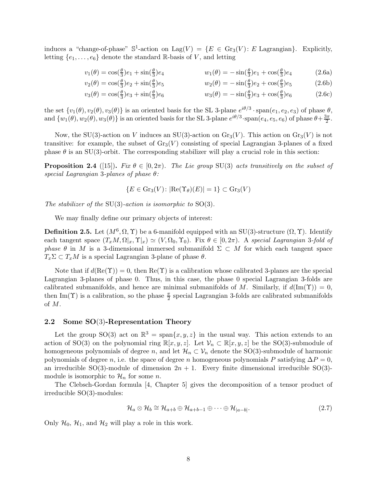induces a "change-of-phase"  $\mathbb{S}^1$ -action on Lag $(V) = \{E \in \text{Gr}_3(V) : E \text{ Lagrangian}\}\$ . Explicitly, letting  $\{e_1, \ldots, e_6\}$  denote the standard R-basis of V, and letting

<span id="page-7-1"></span>
$$
v_1(\theta) = \cos(\frac{\theta}{3})e_1 + \sin(\frac{\theta}{3})e_4 \qquad w_1(\theta) = -\sin(\frac{\theta}{3})e_1 + \cos(\frac{\theta}{3})e_4 \qquad (2.6a)
$$

$$
v_2(\theta) = \cos(\frac{\theta}{3})e_2 + \sin(\frac{\theta}{3})e_5 \qquad \qquad w_2(\theta) = -\sin(\frac{\theta}{3})e_2 + \cos(\frac{\theta}{3})e_5 \qquad (2.6b)
$$

$$
v_3(\theta) = \cos(\frac{\theta}{3})e_3 + \sin(\frac{\theta}{3})e_6 \qquad \qquad w_3(\theta) = -\sin(\frac{\theta}{3})e_3 + \cos(\frac{\theta}{3})e_6 \qquad (2.6c)
$$

the set  $\{v_1(\theta), v_2(\theta), v_3(\theta)\}\$ is an oriented basis for the SL 3-plane  $e^{i\theta/3}$  · span $(e_1, e_2, e_3)$  of phase  $\theta$ , and  $\{w_1(\theta), w_2(\theta), w_3(\theta)\}\$ is an oriented basis for the SL 3-plane  $e^{i\theta/3}\cdot \text{span}(e_4, e_5, e_6)$  of phase  $\theta + \frac{3\pi}{2}$  $\frac{3\pi}{2}$ .

Now, the SU(3)-action on V induces an SU(3)-action on  $\text{Gr}_3(V)$ . This action on  $\text{Gr}_3(V)$  is not transitive: for example, the subset of  $\text{Gr}_3(V)$  consisting of special Lagrangian 3-planes of a fixed phase  $\theta$  is an SU(3)-orbit. The corresponding stabilizer will play a crucial role in this section:

**Proposition 2.4** ([\[15\]](#page-21-0)). Fix  $\theta \in [0, 2\pi)$ . The Lie group SU(3) acts transitively on the subset of special Lagrangian 3-planes of phase θ:

$$
\{E \in \mathrm{Gr}_3(V) \colon |\mathrm{Re}(\Upsilon_{\theta})(E)| = 1\} \subset \mathrm{Gr}_3(V)
$$

The stabilizer of the  $SU(3)$ -action is isomorphic to  $SO(3)$ .

We may finally define our primary objects of interest:

**Definition 2.5.** Let  $(M^6, \Omega, \Upsilon)$  be a 6-manifold equipped with an SU(3)-structure  $(\Omega, \Upsilon)$ . Identify each tangent space  $(T_xM, \Omega|_x, \Upsilon|_x) \simeq (V, \Omega_0, \Upsilon_0)$ . Fix  $\theta \in [0, 2\pi)$ . A special Lagrangian 3-fold of phase  $\theta$  in M is a 3-dimensional immersed submanifold  $\Sigma \subset M$  for which each tangent space  $T_x\Sigma \subset T_xM$  is a special Lagrangian 3-plane of phase  $\theta$ .

Note that if  $d(\text{Re}(\Upsilon)) = 0$ , then  $\text{Re}(\Upsilon)$  is a calibration whose calibrated 3-planes are the special Lagrangian 3-planes of phase 0. Thus, in this case, the phase 0 special Lagrangian 3-folds are calibrated submanifolds, and hence are minimal submanifolds of M. Similarly, if  $d(\text{Im}(\Upsilon)) = 0$ , then Im( $\Upsilon$ ) is a calibration, so the phase  $\frac{\pi}{2}$  special Lagrangian 3-folds are calibrated submanifolds of M.

## <span id="page-7-0"></span>2.2 Some SO(3)-Representation Theory

Let the group SO(3) act on  $\mathbb{R}^3 = \text{span}\{x, y, z\}$  in the usual way. This action extends to an action of SO(3) on the polynomial ring  $\mathbb{R}[x, y, z]$ . Let  $\mathcal{V}_n \subset \mathbb{R}[x, y, z]$  be the SO(3)-submodule of homogeneous polynomials of degree n, and let  $\mathcal{H}_n \subset \mathcal{V}_n$  denote the SO(3)-submodule of harmonic polynomials of degree n, i.e. the space of degree n homogeneous polynomials P satisfying  $\Delta P = 0$ , an irreducible SO(3)-module of dimension  $2n + 1$ . Every finite dimensional irreducible SO(3)module is isomorphic to  $\mathcal{H}_n$  for some *n*.

The Clebsch-Gordan formula [\[4,](#page-21-12) Chapter 5] gives the decomposition of a tensor product of irreducible SO(3)-modules:

$$
\mathcal{H}_a \otimes \mathcal{H}_b \cong \mathcal{H}_{a+b} \oplus \mathcal{H}_{a+b-1} \oplus \cdots \oplus \mathcal{H}_{|a-b|}.
$$
\n(2.7)

Only  $\mathcal{H}_0$ ,  $\mathcal{H}_1$ , and  $\mathcal{H}_2$  will play a role in this work.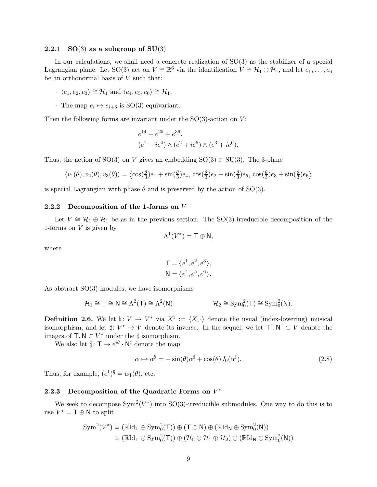## 2.2.1 SO(3) as a subgroup of  $SU(3)$

In our calculations, we shall need a concrete realization of SO(3) as the stabilizer of a special Lagrangian plane. Let SO(3) act on  $V \cong \mathbb{R}^6$  via the identification  $V \cong \mathcal{H}_1 \oplus \mathcal{H}_1$ , and let  $e_1, \ldots, e_6$ be an orthonormal basis of  $V$  such that:

- $\cdot \langle e_1, e_2, e_3 \rangle \cong \mathcal{H}_1$  and  $\langle e_4, e_5, e_6 \rangle \cong \mathcal{H}_1$ ,
- The map  $e_i \mapsto e_{i+3}$  is SO(3)-equivariant.

Then the following forms are invariant under the  $SO(3)$ -action on  $V$ :

$$
e^{14} + e^{25} + e^{36}
$$
,  
\n $(e^1 + ie^4) \wedge (e^2 + ie^5) \wedge (e^3 + ie^6)$ .

Thus, the action of SO(3) on V gives an embedding SO(3)  $\subset$  SU(3). The 3-plane

$$
\langle v_1(\theta), v_2(\theta), v_3(\theta) \rangle = \langle \cos(\frac{\theta}{3})e_1 + \sin(\frac{\theta}{3})e_4, \cos(\frac{\theta}{3})e_2 + \sin(\frac{\theta}{3})e_5, \cos(\frac{\theta}{3})e_3 + \sin(\frac{\theta}{3})e_6 \rangle
$$

is special Lagrangian with phase  $\theta$  and is preserved by the action of SO(3).

#### 2.2.2 Decomposition of the 1-forms on V

Let  $V \cong H_1 \oplus H_1$  be as in the previous section. The SO(3)-irreducible decomposition of the 1-forms on  $V$  is given by

$$
\Lambda^1(V^*)=\mathsf{T}\oplus\mathsf{N},
$$

where

$$
\mathsf{T} = \langle e^1, e^2, e^3 \rangle,
$$
  

$$
\mathsf{N} = \langle e^4, e^5, e^6 \rangle.
$$

As abstract SO(3)-modules, we have isomorphisms

$$
\mathcal{H}_1 \cong T \cong N \cong \Lambda^2(T) \cong \Lambda^2(N) \qquad \qquad \mathcal{H}_2 \cong \mathrm{Sym}_0^2(T) \cong \mathrm{Sym}_0^2(N).
$$

**Definition 2.6.** We let  $\flat: V \to V^*$  via  $X^{\flat} := \langle X, \cdot \rangle$  denote the usual (index-lowering) musical isomorphism, and let  $\sharp: V^* \to V$  denote its inverse. In the sequel, we let  $\mathsf{T}^\sharp, \mathsf{N}^\sharp \subset V$  denote the images of  $\mathsf{T}, \mathsf{N} \subset V^*$  under the  $\sharp$  isomorphism.

We also let  $\S: \mathsf{T} \to e^{i\theta} \cdot \mathsf{N}^{\sharp}$  denote the map

<span id="page-8-0"></span>
$$
\alpha \mapsto \alpha^{\S} = -\sin(\theta)\alpha^{\sharp} + \cos(\theta)J_0(\alpha^{\sharp}). \tag{2.8}
$$

Thus, for example,  $(e^1)^{\S} = w_1(\theta)$ , etc.

## 2.2.3 Decomposition of the Quadratic Forms on  $V^*$

We seek to decompose  $Sym^2(V^*)$  into  $SO(3)$ -irreducible submodules. One way to do this is to use  $V^* = \mathsf{T} \oplus \mathsf{N}$  to split

$$
\begin{aligned} \mathrm{Sym}^2 (V^*) &\cong (\mathbb{R} \mathrm{Id}_\mathsf{T} \oplus \mathrm{Sym}^2_0(\mathsf{T})) \oplus (\mathsf{T} \otimes \mathsf{N}) \oplus (\mathbb{R} \mathrm{Id}_\mathsf{N} \oplus \mathrm{Sym}^2_0(\mathsf{N})) \\ &\cong (\mathbb{R} \mathrm{Id}_\mathsf{T} \oplus \mathrm{Sym}^2_0(\mathsf{T})) \oplus (\mathcal{H}_0 \oplus \mathcal{H}_1 \oplus \mathcal{H}_2) \oplus (\mathbb{R} \mathrm{Id}_\mathsf{N} \oplus \mathrm{Sym}^2_0(\mathsf{N})) \end{aligned}
$$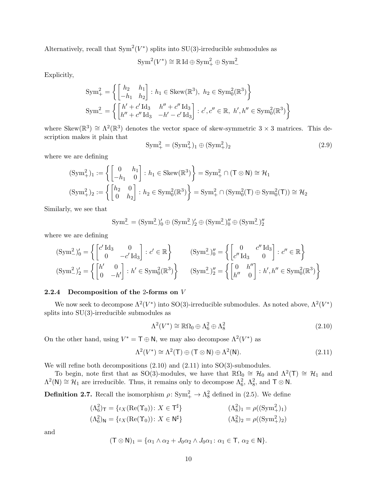Alternatively, recall that  $Sym^2(V^*)$  splits into SU(3)-irreducible submodules as

$$
Sym^2(V^*) \cong \mathbb{R} \operatorname{Id} \oplus \operatorname{Sym}^2_+ \oplus \operatorname{Sym}^2_-
$$

Explicitly,

$$
Sym_{+}^{2} = \left\{ \begin{bmatrix} h_{2} & h_{1} \\ -h_{1} & h_{2} \end{bmatrix} : h_{1} \in Skew(\mathbb{R}^{3}), h_{2} \in Sym_{0}^{2}(\mathbb{R}^{3}) \right\}
$$
  
\n
$$
Sym_{-}^{2} = \left\{ \begin{bmatrix} h' + c' \operatorname{Id}_{3} & h'' + c'' \operatorname{Id}_{3} \\ h'' + c'' \operatorname{Id}_{3} & -h' - c' \operatorname{Id}_{3} \end{bmatrix} : c', c'' \in \mathbb{R}, h', h'' \in Sym_{0}^{2}(\mathbb{R}^{3}) \right\}
$$

where Skew( $\mathbb{R}^3$ )  $\cong \Lambda^2(\mathbb{R}^3)$  denotes the vector space of skew-symmetric 3 × 3 matrices. This description makes it plain that

<span id="page-9-2"></span>
$$
Sym_{+}^{2} = (Sym_{+}^{2})_{1} \oplus (Sym_{+}^{2})_{2}
$$
\n(2.9)

where we are defining

$$
\begin{aligned} (\text{Sym}_+^2)_1 &:= \left\{ \begin{bmatrix} 0 & h_1 \\ -h_1 & 0 \end{bmatrix} : h_1 \in \text{Skew}(\mathbb{R}^3) \right\} = \text{Sym}_+^2 \cap (\mathsf{T} \otimes \mathsf{N}) \cong \mathcal{H}_1 \\ (\text{Sym}_+^2)_2 &:= \left\{ \begin{bmatrix} h_2 & 0 \\ 0 & h_2 \end{bmatrix} : h_2 \in \text{Sym}_0^2(\mathbb{R}^3) \right\} = \text{Sym}_+^2 \cap (\text{Sym}_0^2(\mathsf{T}) \oplus \text{Sym}_0^2(\mathsf{T})) \cong \mathcal{H}_2 \end{aligned}
$$

Similarly, we see that

$$
\mathrm{Sym}_{-}^2 = (\mathrm{Sym}_{-}^2)_0' \oplus (\mathrm{Sym}_{-}^2)_2' \oplus (\mathrm{Sym}_{-}^2)_0'' \oplus (\mathrm{Sym}_{-}^2)_2''
$$

where we are defining

$$
(\text{Sym}^2_'){}_{0}' = \left\{ \begin{bmatrix} c' \, \text{Id}_3 & 0 \\ 0 & -c' \, \text{Id}_3 \end{bmatrix} : c' \in \mathbb{R} \right\} \qquad (\text{Sym}^2_'){}_{0}'' = \left\{ \begin{bmatrix} 0 & c'' \, \text{Id}_3 \\ c'' \, \text{Id}_3 & 0 \end{bmatrix} : c'' \in \mathbb{R} \right\}
$$
  

$$
(\text{Sym}^2_'){}_{2}' = \left\{ \begin{bmatrix} h' & 0 \\ 0 & -h' \end{bmatrix} : h' \in \text{Sym}^2_0(\mathbb{R}^3) \right\} \qquad (\text{Sym}^2_'){}_{2}'' = \left\{ \begin{bmatrix} 0 & h'' \\ h'' & 0 \end{bmatrix} : h', h'' \in \text{Sym}^2_0(\mathbb{R}^3) \right\}
$$

#### 2.2.4 Decomposition of the 2-forms on V

We now seek to decompose  $\Lambda^2(V^*)$  into SO(3)-irreducible submodules. As noted above,  $\Lambda^2(V^*)$ splits into SU(3)-irreducible submodules as

<span id="page-9-1"></span><span id="page-9-0"></span>
$$
\Lambda^2(V^*) \cong \mathbb{R}\Omega_0 \oplus \Lambda_6^2 \oplus \Lambda_8^2 \tag{2.10}
$$

On the other hand, using  $V^* = \mathsf{T} \oplus \mathsf{N}$ , we may also decompose  $\Lambda^2(V^*)$  as

$$
\Lambda^2(V^*) \cong \Lambda^2(\mathsf{T}) \oplus (\mathsf{T} \otimes \mathsf{N}) \oplus \Lambda^2(\mathsf{N}).\tag{2.11}
$$

We will refine both decompositions  $(2.10)$  and  $(2.11)$  into SO(3)-submodules.

To begin, note first that as SO(3)-modules, we have that  $\mathbb{R}\Omega_0 \cong \mathcal{H}_0$  and  $\Lambda^2(\mathsf{T}) \cong \mathcal{H}_1$  and  $\Lambda^2(N) \cong \mathcal{H}_1$  are irreducible. Thus, it remains only to decompose  $\Lambda_6^2$ ,  $\Lambda_8^2$ , and  $\mathsf{T} \otimes \mathsf{N}$ .

**Definition 2.7.** Recall the isomorphism  $\rho: Sym_{+}^{2} \to \Lambda_{8}^{2}$  defined in [\(2.5\)](#page-5-0). We define

$$
(\Lambda_6^2)_{\mathsf{T}} = \{ \iota_X(\text{Re}(\Upsilon_0)) : X \in \mathsf{T}^{\sharp} \}
$$
  
\n
$$
(\Lambda_6^2)_{\mathsf{N}} = \{ \iota_X(\text{Re}(\Upsilon_0)) : X \in \mathsf{N}^{\sharp} \}
$$
  
\n
$$
(\Lambda_8^2)_{2} = \rho((\text{Sym}^2_+)_2)
$$
  
\n
$$
(\Lambda_8^2)_{2} = \rho((\text{Sym}^2_+)_2)
$$

and

$$
(\mathsf{T}\otimes\mathsf{N})_1=\{\alpha_1\wedge\alpha_2+J_0\alpha_2\wedge J_0\alpha_1\colon\alpha_1\in\mathsf{T},\,\alpha_2\in\mathsf{N}\}.
$$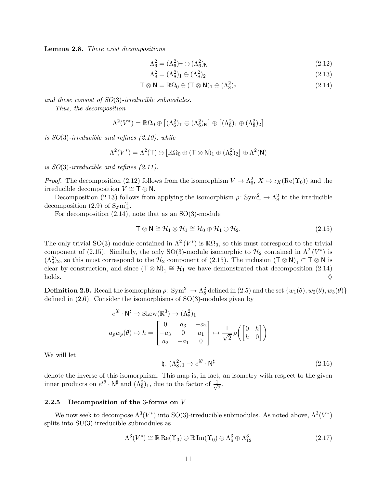<span id="page-10-6"></span>Lemma 2.8. There exist decompositions

<span id="page-10-1"></span>
$$
\Lambda_6^2 = (\Lambda_6^2)_{\mathsf{T}} \oplus (\Lambda_6^2)_{\mathsf{N}} \tag{2.12}
$$

<span id="page-10-3"></span><span id="page-10-2"></span>
$$
\Lambda_8^2 = (\Lambda_8^2)_1 \oplus (\Lambda_8^2)_2 \tag{2.13}
$$

$$
\mathsf{T} \otimes \mathsf{N} = \mathbb{R}\Omega_0 \oplus (\mathsf{T} \otimes \mathsf{N})_1 \oplus (\Lambda_8^2)_2 \tag{2.14}
$$

and these consist of SO(3)-irreducible submodules.

Thus, the decomposition

$$
\Lambda^2(V^*) = \mathbb{R}\Omega_0 \oplus \left[ (\Lambda_6^2)_{\mathsf{T}} \oplus (\Lambda_6^2)_{\mathsf{N}} \right] \oplus \left[ (\Lambda_8^2)_{1} \oplus (\Lambda_8^2)_{2} \right]
$$

is SO(3)-irreducible and refines [\(2.10\)](#page-9-0), while

$$
\Lambda^2(V^*) = \Lambda^2(\mathsf{T}) \oplus \left[ \mathbb{R}\Omega_0 \oplus (\mathsf{T} \otimes \mathsf{N})_1 \oplus (\Lambda^2_8)_2 \right] \oplus \Lambda^2(\mathsf{N})
$$

is SO(3)-irreducible and refines [\(2.11\)](#page-9-1).

*Proof.* The decomposition [\(2.12\)](#page-10-1) follows from the isomorphism  $V \to \Lambda_6^2$ ,  $X \mapsto \iota_X(\text{Re}(\Upsilon_0))$  and the irreducible decomposition  $V \cong \top \oplus \mathsf{N}$ .

Decomposition [\(2.13\)](#page-10-2) follows from applying the isomorphism  $\rho: Sym_{+}^{2} \to \Lambda_{8}^{2}$  to the irreducible decomposition [\(2.9\)](#page-9-2) of  $\text{Sym}^2_+$ .

For decomposition  $(2.14)$ , note that as an SO $(3)$ -module

<span id="page-10-4"></span>
$$
\mathsf{T} \otimes \mathsf{N} \cong \mathcal{H}_1 \otimes \mathcal{H}_1 \cong \mathcal{H}_0 \oplus \mathcal{H}_1 \oplus \mathcal{H}_2. \tag{2.15}
$$

The only trivial SO(3)-module contained in  $\Lambda^2(V^*)$  is  $\mathbb{R}\Omega_0$ , so this must correspond to the trivial component of [\(2.15\)](#page-10-4). Similarly, the only SO(3)-module isomorphic to  $\mathcal{H}_2$  contained in  $\Lambda^2(V^*)$  is  $(\Lambda_8^2)_2$ , so this must correspond to the  $\mathcal{H}_2$  component of [\(2.15\)](#page-10-4). The inclusion  $(T \otimes N)_1 \subset T \otimes N$  is clear by construction, and since  $(T \otimes N)_1 \cong H_1$  we have demonstrated that decomposition [\(2.14\)](#page-10-3) holds.  $\Diamond$ 

**Definition 2.9.** Recall the isomorphism  $\rho: Sym_+^2 \to \Lambda_8^2$  defined in  $(2.5)$  and the set  $\{w_1(\theta), w_2(\theta), w_3(\theta)\}$ defined in [\(2.6\)](#page-7-1). Consider the isomorphisms of SO(3)-modules given by

$$
e^{i\theta} \cdot \mathsf{N}^{\sharp} \to \text{Skew}(\mathbb{R}^{3}) \to (\Lambda_{8}^{2})_{1}
$$

$$
a_{p}w_{p}(\theta) \mapsto h = \begin{bmatrix} 0 & a_{3} & -a_{2} \\ -a_{3} & 0 & a_{1} \\ a_{2} & -a_{1} & 0 \end{bmatrix} \mapsto \frac{1}{\sqrt{2}}\rho\left(\begin{bmatrix} 0 & h \\ h & 0 \end{bmatrix}\right)
$$

We will let

<span id="page-10-5"></span><span id="page-10-0"></span>
$$
\natural \colon (\Lambda^2_8)_1 \to e^{i\theta} \cdot \mathsf{N}^\sharp \tag{2.16}
$$

denote the inverse of this isomorphism. This map is, in fact, an isometry with respect to the given inner products on  $e^{i\theta} \cdot \mathsf{N}^{\sharp}$  and  $(\Lambda_8^2)_1$ , due to the factor of  $\frac{1}{\sqrt{2}}$  $\overline{2}$ .

## 2.2.5 Decomposition of the 3-forms on V

We now seek to decompose  $\Lambda^3(V^*)$  into SO(3)-irreducible submodules. As noted above,  $\Lambda^3(V^*)$ splits into SU(3)-irreducible submodules as

$$
\Lambda^3(V^*) \cong \mathbb{R} \operatorname{Re}(\Upsilon_0) \oplus \mathbb{R} \operatorname{Im}(\Upsilon_0) \oplus \Lambda_6^3 \oplus \Lambda_{12}^3 \tag{2.17}
$$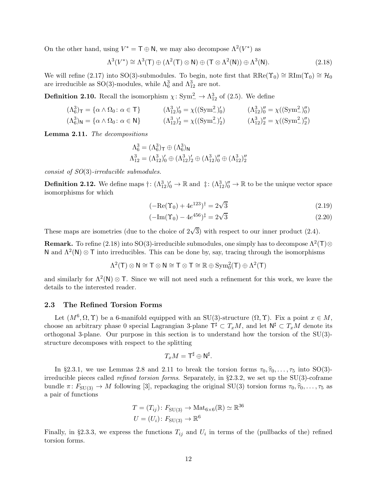On the other hand, using  $V^* = \mathsf{T} \oplus \mathsf{N}$ , we may also decompose  $\Lambda^2(V^*)$  as

$$
\Lambda^3(V^*) \cong \Lambda^3(\mathsf{T}) \oplus (\Lambda^2(\mathsf{T}) \otimes \mathsf{N}) \oplus (\mathsf{T} \otimes \Lambda^2(\mathsf{N})) \oplus \Lambda^3(\mathsf{N}). \tag{2.18}
$$

We will refine [\(2.17\)](#page-10-5) into SO(3)-submodules. To begin, note first that  $\mathbb{R}\text{Re}(\Upsilon_0) \cong \mathbb{R}\text{Im}(\Upsilon_0) \cong \mathcal{H}_0$ are irreducible as SO(3)-modules, while  $\Lambda_6^3$  and  $\Lambda_{12}^3$  are not.

**Definition 2.10.** Recall the isomorphism  $\chi: Sym_{-}^{2} \to \Lambda_{12}^{3}$  of [\(2.5\)](#page-5-0). We define

$$
(\Lambda_6^3)_{\mathsf{T}} = {\alpha \wedge \Omega_0 \colon \alpha \in \mathsf{T}}
$$
\n
$$
(\Lambda_{12}^3)'_0 = \chi((\mathrm{Sym}^2_{-})'_0) \qquad (\Lambda_{12}^3)''_0 = \chi((\mathrm{Sym}^2_{-})''_0)
$$
\n
$$
(\Lambda_6^3)_{\mathsf{N}} = {\alpha \wedge \Omega_0 \colon \alpha \in \mathsf{N}}
$$
\n
$$
(\Lambda_{12}^3)'_2 = \chi((\mathrm{Sym}^2_{-})'_2) \qquad (\Lambda_{12}^3)'_2 = \chi((\mathrm{Sym}^2_{-})''_2)
$$

<span id="page-11-4"></span>Lemma 2.11. The decompositions

<span id="page-11-3"></span>
$$
\Lambda_6^3 = (\Lambda_6^3)_{\mathsf{T}} \oplus (\Lambda_6^3)_{\mathsf{N}}
$$
  

$$
\Lambda_{12}^3 = (\Lambda_{12}^3)'_0 \oplus (\Lambda_{12}^3)'_2 \oplus (\Lambda_{12}^3)''_0 \oplus (\Lambda_{12}^3)''_2
$$

consist of SO(3)-irreducible submodules.

**Definition 2.12.** We define maps  $\dagger: (\Lambda_{12}^3)'_0 \to \mathbb{R}$  and  $\dagger: (\Lambda_{12}^3)''_0 \to \mathbb{R}$  to be the unique vector space isomorphisms for which

<span id="page-11-1"></span>
$$
(-\text{Re}(\Upsilon_0) + 4e^{123})^{\dagger} = 2\sqrt{3}
$$
\n(2.19)

<span id="page-11-2"></span>
$$
(-\text{Im}(\Upsilon_0) - 4e^{456})^{\ddagger} = 2\sqrt{3}
$$
\n(2.20)

These maps are isometries (due to the choice of  $2\sqrt{3}$ ) with respect to our inner product [\(2.4\)](#page-4-2).

**Remark.** To refine [\(2.18\)](#page-11-3) into SO(3)-irreducible submodules, one simply has to decompose  $\Lambda^2(T)$ ⊗ N and  $\Lambda^2(N) \otimes T$  into irreducibles. This can be done by, say, tracing through the isomorphisms

 $\Lambda^2(\mathsf{T})\otimes\mathsf{N}\cong \mathsf{T}\otimes\mathsf{N}\cong \mathsf{T}\otimes\mathsf{T}\cong\mathbb{R}\oplus\mathrm{Sym}_0^2(\mathsf{T})\oplus\Lambda^2(\mathsf{T})$ 

and similarly for  $\Lambda^2(N) \otimes T$ . Since we will not need such a refinement for this work, we leave the details to the interested reader.

## <span id="page-11-0"></span>2.3 The Refined Torsion Forms

Let  $(M^6, \Omega, \Upsilon)$  be a 6-manifold equipped with an SU(3)-structure  $(\Omega, \Upsilon)$ . Fix a point  $x \in M$ , choose an arbitrary phase 0 special Lagrangian 3-plane  $\mathsf{T}^\sharp \subset T_xM$ , and let  $\mathsf{N}^\sharp \subset T_xM$  denote its orthogonal 3-plane. Our purpose in this section is to understand how the torsion of the SU(3) structure decomposes with respect to the splitting

$$
T_xM=\mathsf{T}^\sharp\oplus\mathsf{N}^\sharp.
$$

In §[2.3.1,](#page-12-0) we use Lemmas [2.8](#page-10-6) and [2.11](#page-11-4) to break the torsion forms  $\tau_0, \hat{\tau}_0, \ldots, \tau_5$  into SO(3)irreducible pieces called *refined torsion forms*. Separately, in §[2.3.2,](#page-13-0) we set up the  $SU(3)$ -coframe bundle  $\pi: F_{SU(3)} \to M$  following [\[3\]](#page-21-10), repackaging the original SU(3) torsion forms  $\tau_0, \hat{\tau}_0, \ldots, \tau_5$  as a pair of functions

$$
T = (T_{ij}) \colon F_{\text{SU(3)}} \to \text{Mat}_{6 \times 6}(\mathbb{R}) \simeq \mathbb{R}^{36}
$$

$$
U = (U_i) \colon F_{\text{SU(3)}} \to \mathbb{R}^6
$$

Finally, in §[2.3.3,](#page-14-0) we express the functions  $T_{ij}$  and  $U_i$  in terms of the (pullbacks of the) refined torsion forms.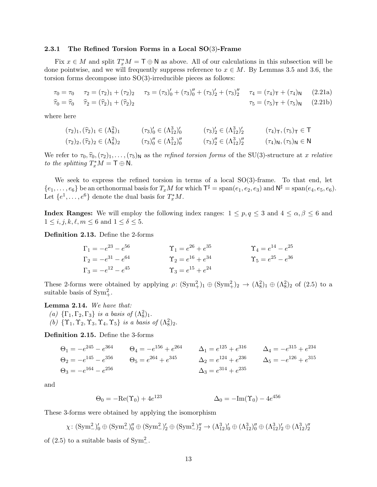#### <span id="page-12-0"></span>2.3.1 The Refined Torsion Forms in a Local SO(3)-Frame

Fix  $x \in M$  and split  $T_x^*M = T \oplus N$  as above. All of our calculations in this subsection will be done pointwise, and we will frequently suppress reference to  $x \in M$ . By Lemmas 3.5 and 3.6, the torsion forms decompose into SO(3)-irreducible pieces as follows:

$$
\tau_0 = \tau_0 \qquad \tau_2 = (\tau_2)_1 + (\tau_2)_2 \qquad \tau_3 = (\tau_3)'_0 + (\tau_3)''_0 + (\tau_3)'_2 + (\tau_3)''_2 \qquad \tau_4 = (\tau_4)_T + (\tau_4)_N \qquad (2.21a)
$$
  

$$
\hat{\tau}_0 = \hat{\tau}_0 \qquad \hat{\tau}_2 = (\hat{\tau}_2)_1 + (\hat{\tau}_2)_2 \qquad \tau_5 = (\tau_5)_T + (\tau_5)_N \qquad (2.21b)
$$

where here

<span id="page-12-2"></span>
$$
(\tau_2)_1, (\hat{\tau}_2)_1 \in (\Lambda_8^2)_1 \qquad (\tau_3)'_0 \in (\Lambda_{12}^3)'_0 \qquad (\tau_3)'_2 \in (\Lambda_{12}^3)'_2 \qquad (\tau_4)_{\mathsf{T}}, (\tau_5)_{\mathsf{T}} \in \mathsf{T}
$$
  

$$
(\tau_2)_2, (\hat{\tau}_2)_2 \in (\Lambda_8^2)_2 \qquad (\tau_3)''_0 \in (\Lambda_{12}^3)''_0 \qquad (\tau_3)''_2 \in (\Lambda_{12}^3)''_2 \qquad (\tau_4)_{\mathsf{N}}, (\tau_5)_{\mathsf{N}} \in \mathsf{N}
$$

We refer to  $\tau_0, \hat{\tau}_0, (\tau_2)_1, \ldots, (\tau_5)_N$  as the *refined torsion forms* of the SU(3)-structure at x relative to the splitting  $T_x^*M = T \oplus N$ .

We seek to express the refined torsion in terms of a local  $SO(3)$ -frame. To that end, let  ${e_1, \ldots, e_6}$  be an orthonormal basis for  $T_xM$  for which  $T^{\sharp} = \text{span}(e_1, e_2, e_3)$  and  $N^{\sharp} = \text{span}(e_4, e_5, e_6)$ . Let  $\{e^1, \ldots, e^6\}$  denote the dual basis for  $T_x^*M$ .

**Index Ranges:** We will employ the following index ranges:  $1 \leq p, q \leq 3$  and  $4 \leq \alpha, \beta \leq 6$  and  $1 \leq i, j, k, \ell, m \leq 6$  and  $1 \leq \delta \leq 5$ .

Definition 2.13. Define the 2-forms

$$
\Gamma_1 = -e^{23} - e^{56}
$$
\n
$$
\Gamma_2 = -e^{31} - e^{64}
$$
\n
$$
\Gamma_3 = -e^{12} - e^{45}
$$
\n
$$
\Gamma_4 = e^{14} - e^{25}
$$
\n
$$
\Gamma_5 = e^{12} - e^{45}
$$
\n
$$
\Gamma_6 = e^{12} - e^{45}
$$
\n
$$
\Gamma_7 = e^{15} + e^{24}
$$
\n
$$
\Gamma_8 = e^{15} + e^{24}
$$
\n
$$
\Gamma_9 = e^{12} - e^{45}
$$

These 2-forms were obtained by applying  $\rho: (\text{Sym}^2_+)_1 \oplus (\text{Sym}^2_+)_2 \to (\Lambda_8^2)_1 \oplus (\Lambda_8^2)_2$  of [\(2.5\)](#page-5-0) to a suitable basis of  $\text{Sym}^2_+$ .

<span id="page-12-1"></span>Lemma 2.14. We have that:

- (a)  $\{\Gamma_1, \Gamma_2, \Gamma_3\}$  is a basis of  $(\Lambda_8^2)_1$ .
- (b)  $\{\Upsilon_1, \Upsilon_2, \Upsilon_3, \Upsilon_4, \Upsilon_5\}$  is a basis of  $(\Lambda_8^2)_2$ .

Definition 2.15. Define the 3-forms

$$
\Theta_1 = -e^{245} - e^{364} \qquad \Theta_4 = -e^{156} + e^{264} \qquad \Delta_1 = e^{125} + e^{316} \qquad \Delta_4 = -e^{315} + e^{234} \n\Theta_2 = -e^{145} - e^{356} \qquad \Theta_5 = e^{264} + e^{345} \qquad \Delta_2 = e^{124} + e^{236} \qquad \Delta_5 = -e^{126} + e^{315} \n\Delta_3 = e^{314} + e^{235}
$$

and

$$
\Theta_0 = -\text{Re}(\Upsilon_0) + 4e^{123} \qquad \qquad \Delta_0 = -\text{Im}(\Upsilon_0) - 4e^{456}
$$

These 3-forms were obtained by applying the isomorphism

 $\chi \colon (\text{Sym}^2_{-})'_0 \oplus (\text{Sym}^2_{-})''_0 \oplus (\text{Sym}^2_{-})'_2 \oplus (\text{Sym}^2_{-})''_2 \to (\Lambda^3_{12})'_0 \oplus (\Lambda^3_{12})''_0 \oplus (\Lambda^3_{12})'_2 \oplus (\Lambda^3_{12})''_2$ 

of  $(2.5)$  to a suitable basis of  $Sym<sup>2</sup>$ .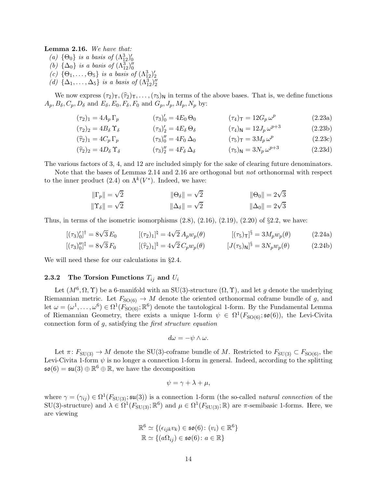<span id="page-13-1"></span>Lemma 2.16. We have that:

(a)  $\{\Theta_0\}$  is a basis of  $(\Lambda_{12}^3)'_0$ <br>
(b)  $\{\Delta_0\}$  is a basis of  $(\Lambda_{12}^3)''_0$ (c)  $\{\Theta_1,\ldots,\Theta_5\}$  is a basis of  $(\Lambda^3_{12})'_2$ (d)  $\{\Delta_1, \ldots, \Delta_5\}$  is a basis of  $(\Lambda_{12}^3)''_2$ 

We now express  $(\tau_2)_{\tau}$ ,  $(\hat{\tau}_2)_{\tau}$ , ...,  $(\tau_5)_{\text{N}}$  in terms of the above bases. That is, we define functions  $A_p, B_\delta, C_p, D_\delta$  and  $E_\delta, E_0, F_\delta, F_0$  and  $G_p, J_p, M_p, N_p$  by:

<span id="page-13-2"></span>
$$
(\tau_2)_1 = 4A_p \Gamma_p \qquad (\tau_3)'_0 = 4E_0 \Theta_0 \qquad (\tau_4)_T = 12G_p \omega^p \qquad (2.23a)
$$

$$
(\tau_2)_2 = 4B_\delta \Upsilon_\delta \qquad (\tau_3)'_2 = 4E_\delta \Theta_\delta \qquad (\tau_4)_{\mathsf{N}} = 12J_p \,\omega^{p+3} \qquad (2.23b)
$$

$$
(\hat{\tau}_2)_1 = 4C_p \Gamma_p \qquad (\tau_3)''_0 = 4F_0 \Delta_0 \qquad (\tau_5)_{\tau} = 3M_p \omega^p \qquad (2.23c)
$$

$$
(\widehat{\tau}_2)_2 = 4D_\delta \Upsilon_\delta \qquad (\tau_3)_2'' = 4F_\delta \Delta_\delta \qquad (\tau_5)_N = 3N_p \omega^{p+3} \qquad (2.23d)
$$

The various factors of 3, 4, and 12 are included simply for the sake of clearing future denominators.

Note that the bases of Lemmas [2.14](#page-12-1) and [2.16](#page-13-1) are orthogonal but not orthonormal with respect to the inner product [\(2.4\)](#page-4-2) on  $\Lambda^k(V^*)$ . Indeed, we have:

$$
\begin{aligned}\n||\Gamma_p|| &= \sqrt{2} & ||\Theta_\delta|| &= \sqrt{2} & ||\Theta_0|| &= 2\sqrt{3} \\
||\Upsilon_\delta|| &= \sqrt{2} & ||\Delta_\delta|| &= \sqrt{2} & ||\Delta_0|| &= 2\sqrt{3}\n\end{aligned}
$$

Thus, in terms of the isometric isomorphisms  $(2.8)$ ,  $(2.16)$ ,  $(2.19)$ ,  $(2.20)$  of  $\S2.2$ , we have:

$$
[(\tau_3)'_0]^\dagger = 8\sqrt{3} E_0 \qquad [(\tau_2)_1]^\dagger = 4\sqrt{2} A_p w_p(\theta) \qquad [(\tau_5)_T]^\S = 3M_p w_p(\theta) \qquad (2.24a)
$$
  

$$
[(\tau_3)''_0]^\dagger = 8\sqrt{3} F_0 \qquad [(\hat{\tau}_2)_1]^\dagger = 4\sqrt{2} C_p w_p(\theta) \qquad [J(\tau_5)_N]^\S = 3N_p w_p(\theta) \qquad (2.24b)
$$

<span id="page-13-0"></span>We will need these for our calculations in §[2.4.](#page-16-0)

## **2.3.2** The Torsion Functions  $T_{ij}$  and  $U_i$

Let  $(M^6, \Omega, \Upsilon)$  be a 6-manifold with an SU(3)-structure  $(\Omega, \Upsilon)$ , and let g denote the underlying Riemannian metric. Let  $F_{\text{SO}(6)} \to M$  denote the oriented orthonormal coframe bundle of g, and let  $\omega = (\omega^1, \dots, \omega^6) \in \Omega^1(F_{\mathrm{SO}(6)}; \mathbb{R}^6)$  denote the tautological 1-form. By the Fundamental Lemma of Riemannian Geometry, there exists a unique 1-form  $\psi \in \Omega^1(F_{\text{SO}(6)}; \mathfrak{so}(6))$ , the Levi-Civita connection form of g, satisfying the first structure equation

<span id="page-13-3"></span>
$$
d\omega = -\psi \wedge \omega.
$$

Let  $\pi: F_{\text{SU(3)}} \to M$  denote the SU(3)-coframe bundle of M. Restricted to  $F_{\text{SU(3)}} \subset F_{\text{SO(6)}}$ , the Levi-Civita 1-form  $\psi$  is no longer a connection 1-form in general. Indeed, according to the splitting  $\mathfrak{so}(6) = \mathfrak{su}(3) \oplus \mathbb{R}^6 \oplus \mathbb{R}$ , we have the decomposition

$$
\psi = \gamma + \lambda + \mu,
$$

where  $\gamma = (\gamma_{ij}) \in \Omega^1(F_{SU(3)}; \mathfrak{su}(3))$  is a connection 1-form (the so-called *natural connection* of the SU(3)-structure) and  $\lambda \in \Omega^1(F_{\mathrm{SU}(3)}; \mathbb{R}^6)$  and  $\mu \in \Omega^1(F_{\mathrm{SU}(3)}; \mathbb{R})$  are  $\pi$ -semibasic 1-forms. Here, we are viewing

$$
\mathbb{R}^6 \simeq \{ (\epsilon_{ijk} v_k) \in \mathfrak{so}(6) : (v_i) \in \mathbb{R}^6 \}
$$
  

$$
\mathbb{R} \simeq \{ (a\Omega_{ij}) \in \mathfrak{so}(6) : a \in \mathbb{R} \}
$$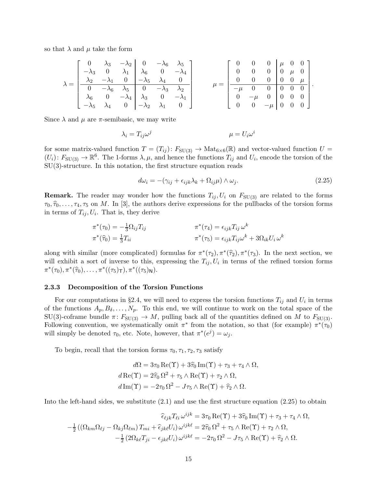so that  $\lambda$  and  $\mu$  take the form

$$
\lambda = \begin{bmatrix} 0 & \lambda_3 & -\lambda_2 & 0 & -\lambda_6 & \lambda_5 \\ -\lambda_3 & 0 & \lambda_1 & \lambda_6 & 0 & -\lambda_4 \\ \frac{\lambda_2}{\lambda_2} & -\lambda_1 & 0 & -\lambda_5 & \lambda_4 & 0 \\ 0 & -\lambda_6 & \lambda_5 & 0 & -\lambda_3 & \lambda_2 \\ \lambda_6 & 0 & -\lambda_4 & \lambda_3 & 0 & -\lambda_1 \\ -\lambda_5 & \lambda_4 & 0 & -\lambda_2 & \lambda_1 & 0 \end{bmatrix} \qquad \mu = \begin{bmatrix} 0 & 0 & 0 & \mu & 0 & 0 \\ 0 & 0 & 0 & \mu & 0 & 0 \\ 0 & 0 & 0 & 0 & \mu & 0 \\ -\mu & 0 & 0 & 0 & 0 & 0 \\ 0 & -\mu & 0 & 0 & 0 & 0 \\ 0 & 0 & -\mu & 0 & 0 & 0 \end{bmatrix}.
$$

Since  $\lambda$  and  $\mu$  are  $\pi$ -semibasic, we may write

$$
\lambda_i = T_{ij}\omega^j \qquad \qquad \mu = U_i\omega^i
$$

for some matrix-valued function  $T = (T_{ij})$ :  $F_{SU(3)} \to Mat_{6\times6}(\mathbb{R})$  and vector-valued function  $U =$  $(U_i): F_{\text{SU(3)}} \to \mathbb{R}^6$ . The 1-forms  $\lambda, \mu$ , and hence the functions  $T_{ij}$  and  $U_i$ , encode the torsion of the SU(3)-structure. In this notation, the first structure equation reads

<span id="page-14-1"></span>
$$
d\omega_i = -(\gamma_{ij} + \epsilon_{ijk}\lambda_k + \Omega_{ij}\mu) \wedge \omega_j.
$$
\n(2.25)

**Remark.** The reader may wonder how the functions  $T_{ij}$ ,  $U_i$  on  $F_{SU(3)}$  are related to the forms  $\tau_0, \hat{\tau}_0, \ldots, \tau_4, \tau_5$  on M. In [\[3\]](#page-21-10), the authors derive expressions for the pullbacks of the torsion forms in terms of  $T_{ij}, U_i$ . That is, they derive

$$
\pi^*(\tau_0) = -\frac{1}{3}\Omega_{ij}T_{ij} \qquad \qquad \pi^*(\tau_4) = \epsilon_{ijk}T_{ij}\,\omega^k
$$
  

$$
\pi^*(\widehat{\tau_0}) = \frac{1}{3}T_{ii} \qquad \qquad \pi^*(\tau_5) = \epsilon_{ijk}T_{ij}\omega^k + 3\Omega_{ik}U_i\,\omega^k
$$

along with similar (more complicated) formulas for  $\pi^*(\tau_2)$ ,  $\pi^*(\widehat{\tau}_2)$ ,  $\pi^*(\tau_3)$ . In the next section, we will exhibit a sort of inverse to this, expressing the  $T_{ij}, U_i$  in terms of the refined torsion forms  $\pi^*(\tau_0), \pi^*(\widehat{\tau}_0), \ldots, \pi^*((\tau_5)\tau), \pi^*((\tau_5)\mathsf{n}).$ 

#### <span id="page-14-0"></span>2.3.3 Decomposition of the Torsion Functions

For our computations in §[2.4,](#page-16-0) we will need to express the torsion functions  $T_{ij}$  and  $U_i$  in terms of the functions  $A_p, B_\delta, \ldots, N_p$ . To this end, we will continue to work on the total space of the  $SU(3)$ -coframe bundle  $\pi: F_{SU(3)} \to M$ , pulling back all of the quantities defined on M to  $F_{SU(3)}$ . Following convention, we systematically omit  $\pi^*$  from the notation, so that (for example)  $\pi^*(\tau_0)$ will simply be denoted  $\tau_0$ , etc. Note, however, that  $\pi^*(e^j) = \omega_j$ .

To begin, recall that the torsion forms  $\tau_0, \tau_1, \tau_2, \tau_3$  satisfy

$$
d\Omega = 3\tau_0 \operatorname{Re}(\Upsilon) + 3\hat{\tau}_0 \operatorname{Im}(\Upsilon) + \tau_3 + \tau_4 \wedge \Omega,
$$
  
\n
$$
d\operatorname{Re}(\Upsilon) = 2\hat{\tau}_0 \Omega^2 + \tau_5 \wedge \operatorname{Re}(\Upsilon) + \tau_2 \wedge \Omega,
$$
  
\n
$$
d\operatorname{Im}(\Upsilon) = -2\tau_0 \Omega^2 - J\tau_5 \wedge \operatorname{Re}(\Upsilon) + \hat{\tau}_2 \wedge \Omega.
$$

Into the left-hand sides, we substitute  $(2.1)$  and use the first structure equation  $(2.25)$  to obtain

$$
\hat{\epsilon}_{\ell j k} T_{\ell i} \omega^{ijk} = 3\tau_0 \operatorname{Re}(\Upsilon) + 3\hat{\tau}_0 \operatorname{Im}(\Upsilon) + \tau_3 + \tau_4 \wedge \Omega,
$$
  

$$
-\frac{1}{2} \left( \left( \Omega_{km} \Omega_{\ell j} - \Omega_{kj} \Omega_{\ell m} \right) T_{mi} + \hat{\epsilon}_{jk} \ell U_i \right) \omega^{ijk\ell} = 2\hat{\tau}_0 \Omega^2 + \tau_5 \wedge \operatorname{Re}(\Upsilon) + \tau_2 \wedge \Omega,
$$
  

$$
-\frac{1}{2} \left( 2\Omega_{k\ell} T_{ji} - \epsilon_{jk} \ell U_i \right) \omega^{ijk\ell} = -2\tau_0 \Omega^2 - J\tau_5 \wedge \operatorname{Re}(\Upsilon) + \hat{\tau}_2 \wedge \Omega.
$$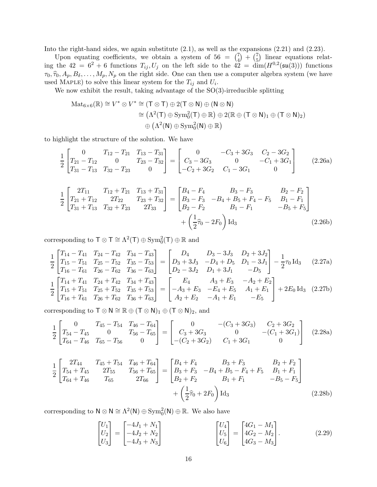Into the right-hand sides, we again substitute  $(2.1)$ , as well as the expansions  $(2.21)$  and  $(2.23)$ .

Upon equating coefficients, we obtain a system of  $56 = \binom{7}{4}$  $\binom{7}{4} + \binom{7}{5}$  $\binom{7}{5}$  linear equations relating the  $42 = 6^2 + 6$  functions  $T_{ij}, U_j$  on the left side to the  $42 = \dim(H^{0,2}(\mathfrak{su}(3)))$  functions  $\tau_0, \hat{\tau}_0, A_p, B_\delta, \ldots, M_p, N_p$  on the right side. One can then use a computer algebra system (we have used MAPLE) to solve this linear system for the  $T_{ij}$  and  $U_i$ .

We now exhibit the result, taking advantage of the  $SO(3)$ -irreducible splitting

<span id="page-15-0"></span>
$$
\begin{aligned} \operatorname{Mat}_{6\times 6}(\mathbb{R}) &\cong V^* \otimes V^* \cong (\mathsf{T} \otimes \mathsf{T}) \oplus 2(\mathsf{T} \otimes \mathsf{N}) \oplus (\mathsf{N} \otimes \mathsf{N}) \\ &\cong \left(\Lambda^2(\mathsf{T}) \oplus \operatorname{Sym}_0^2(\mathsf{T}) \oplus \mathbb{R}\right) \oplus 2(\mathbb{R} \oplus (\mathsf{T} \otimes \mathsf{N})_1 \oplus (\mathsf{T} \otimes \mathsf{N})_2) \\ &\oplus \left(\Lambda^2(\mathsf{N}) \oplus \operatorname{Sym}_0^2(\mathsf{N}) \oplus \mathbb{R}\right) \end{aligned}
$$

to highlight the structure of the solution. We have

$$
\frac{1}{2} \begin{bmatrix} 0 & T_{12} - T_{21} & T_{13} - T_{31} \ T_{21} - T_{12} & 0 & T_{23} - T_{32} \ T_{31} - T_{13} & T_{32} - T_{23} & 0 \end{bmatrix} = \begin{bmatrix} 0 & -C_3 + 3G_3 & C_2 - 3G_2 \ C_3 - 3G_3 & 0 & -C_1 + 3G_1 \ -C_2 + 3G_2 & C_1 - 3G_1 & 0 \end{bmatrix}
$$
(2.26a)

$$
\frac{1}{2} \begin{bmatrix} 2T_{11} & T_{12} + T_{21} & T_{13} + T_{31} \\ T_{21} + T_{12} & 2T_{22} & T_{23} + T_{32} \\ T_{31} + T_{13} & T_{32} + T_{23} & 2T_{33} \end{bmatrix} = \begin{bmatrix} B_4 - F_4 & B_3 - F_3 & B_2 - F_2 \\ B_3 - F_3 & -B_4 + B_5 + F_4 - F_5 & B_1 - F_1 \\ B_2 - F_2 & B_1 - F_1 & -B_5 + F_5 \end{bmatrix} + \left( \frac{1}{2} \hat{\tau}_0 - 2F_0 \right) \text{Id}_3 \tag{2.26b}
$$

corresponding to  $\top \otimes \top \cong \Lambda^2(\top) \oplus \text{Sym}_0^2(\top) \oplus \mathbb{R}$  and

$$
\frac{1}{2} \begin{bmatrix} T_{14} - T_{41} & T_{24} - T_{42} & T_{34} - T_{43} \ T_{15} - T_{51} & T_{25} - T_{52} & T_{35} - T_{53} \ T_{16} - T_{61} & T_{26} - T_{62} & T_{36} - T_{63} \end{bmatrix} = \begin{bmatrix} D_4 & D_3 - 3J_3 & D_2 + 3J_2 \ D_3 + 3J_3 & -D_4 + D_5 & D_1 - 3J_1 \ D_2 - 3J_2 & D_1 + 3J_1 & -D_5 \end{bmatrix} - \frac{1}{2} \tau_0 \operatorname{Id}_3 \quad (2.27a)
$$
\n
$$
\frac{1}{2} \begin{bmatrix} T_{14} + T_{41} & T_{24} + T_{42} & T_{34} + T_{43} \ T_{15} + T_{51} & T_{25} + T_{52} & T_{35} + T_{53} \end{bmatrix} = \begin{bmatrix} E_4 & A_3 + E_3 & -A_2 + E_2 \ -A_3 + E_3 & -E_4 + E_5 & A_1 + E_1 \ A_2 + E_2 & -A_1 + E_1 & -E_5 \end{bmatrix} + 2E_0 \operatorname{Id}_3 \quad (2.27b)
$$

corresponding to  $\top \otimes \mathsf{N} \cong \mathbb{R} \oplus (\top \otimes \mathsf{N})_1 \oplus (\top \otimes \mathsf{N})_2$ , and

<span id="page-15-1"></span>
$$
\frac{1}{2} \begin{bmatrix} 0 & T_{45} - T_{54} & T_{46} - T_{64} \ T_{54} - T_{45} & 0 & T_{56} - T_{65} \ T_{64} - T_{46} & T_{65} - T_{56} & 0 \end{bmatrix} = \begin{bmatrix} 0 & -(C_3 + 3G_3) & C_2 + 3G_2 \ C_3 + 3G_3 & 0 & -(C_1 + 3G_1) \ -(C_2 + 3G_2) & C_1 + 3G_1 & 0 \end{bmatrix}
$$
(2.28a)

$$
\frac{1}{2} \begin{bmatrix} 2T_{44} & T_{45} + T_{54} & T_{46} + T_{64} \\ T_{54} + T_{45} & 2T_{55} & T_{56} + T_{65} \\ T_{64} + T_{46} & T_{65} & 2T_{66} \end{bmatrix} = \begin{bmatrix} B_4 + F_4 & B_3 + F_3 & B_2 + F_2 \\ B_3 + F_3 & -B_4 + B_5 - F_4 + F_5 & B_1 + F_1 \\ B_2 + F_2 & B_1 + F_1 & -B_5 - F_5 \end{bmatrix}
$$
  
+  $\left( \frac{1}{2} \hat{\tau}_0 + 2F_0 \right) \text{Id}_3$  (2.28b)

corresponding to  $N \otimes N \cong \Lambda^2(N) \oplus \text{Sym}_0^2(N) \oplus \mathbb{R}$ . We also have

<span id="page-15-2"></span>
$$
\begin{bmatrix} U_1 \\ U_2 \\ U_3 \end{bmatrix} = \begin{bmatrix} -4J_1 + N_1 \\ -4J_2 + N_2 \\ -4J_3 + N_3 \end{bmatrix} \qquad \qquad \begin{bmatrix} U_4 \\ U_5 \\ U_6 \end{bmatrix} = \begin{bmatrix} 4G_1 - M_1 \\ 4G_2 - M_2 \\ 4G_3 - M_3 \end{bmatrix} . \tag{2.29}
$$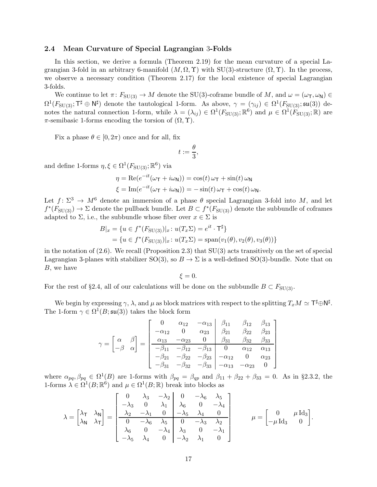### <span id="page-16-0"></span>2.4 Mean Curvature of Special Lagrangian 3-Folds

In this section, we derive a formula (Theorem [2.19\)](#page-19-0) for the mean curvature of a special Lagrangian 3-fold in an arbitrary 6-manifold  $(M, \Omega, \Upsilon)$  with SU(3)-structure  $(\Omega, \Upsilon)$ . In the process, we observe a necessary condition (Theorem [2.17\)](#page-18-0) for the local existence of special Lagrangian 3-folds.

We continue to let  $\pi: F_{\text{SU(3)}} \to M$  denote the SU(3)-coframe bundle of M, and  $\omega = (\omega_{\text{T}}, \omega_{\text{N}}) \in$  $\Omega^1(F_{\text{SU(3)}}; \mathsf{T}^\sharp \oplus \mathsf{N}^\sharp)$  denote the tautological 1-form. As above,  $\gamma = (\gamma_{ij}) \in \Omega^1(F_{\text{SU(3)}}; \mathfrak{su}(3))$  denotes the natural connection 1-form, while  $\lambda = (\lambda_{ij}) \in \Omega^1(F_{\mathrm{SU}(3)}; \mathbb{R}^6)$  and  $\mu \in \Omega^1(F_{\mathrm{SU}(3)}; \mathbb{R})$  are  $\pi$ -semibasic 1-forms encoding the torsion of  $(\Omega, \Upsilon)$ .

Fix a phase  $\theta \in [0, 2\pi)$  once and for all, fix

$$
t:=\frac{\theta}{3},
$$

and define 1-forms  $\eta, \xi \in \Omega^1(F_{\mathrm{SU}(3)}; \mathbb{R}^6)$  via

$$
\eta = \text{Re}(e^{-it}(\omega_{\mathsf{T}} + i\omega_{\mathsf{N}})) = \cos(t)\,\omega_{\mathsf{T}} + \sin(t)\,\omega_{\mathsf{N}}
$$

$$
\xi = \text{Im}(e^{-it}(\omega_{\mathsf{T}} + i\omega_{\mathsf{N}})) = -\sin(t)\,\omega_{\mathsf{T}} + \cos(t)\,\omega_{\mathsf{N}}.
$$

Let  $f: \Sigma^3 \to M^6$  denote an immersion of a phase  $\theta$  special Lagrangian 3-fold into M, and let  $f^*(F_{SU(3)}) \to \Sigma$  denote the pullback bundle. Let  $B \subset f^*(F_{SU(3)})$  denote the subbundle of coframes adapted to  $\Sigma$ , i.e., the subbundle whose fiber over  $x \in \Sigma$  is

$$
B|_{x} = \{u \in f^*(F_{\text{SU}(3)})|_{x} : u(T_x \Sigma) = e^{it} \cdot \mathsf{T}^{\sharp}\}\
$$
  
=  $\{u \in f^*(F_{\text{SU}(3)})|_{x} : u(T_x \Sigma) = \text{span}(v_1(\theta), v_2(\theta), v_3(\theta))\}\$ 

in the notation of  $(2.6)$ . We recall (Proposition 2.3) that  $SU(3)$  acts transitively on the set of special Lagrangian 3-planes with stabilizer SO(3), so  $B \to \Sigma$  is a well-defined SO(3)-bundle. Note that on B, we have

 $\xi = 0.$ 

For the rest of §[2.4,](#page-16-0) all of our calculations will be done on the subbundle  $B \subset F_{SU(3)}$ .

We begin by expressing  $\gamma$ ,  $\lambda$ , and  $\mu$  as block matrices with respect to the splitting  $T_xM \simeq \mathsf{T}^\sharp \oplus \mathsf{N}^\sharp$ . The 1-form  $\gamma \in \Omega^1(B; \mathfrak{su}(3))$  takes the block form

$$
\gamma = \begin{bmatrix} \alpha & \beta \\ -\beta & \alpha \end{bmatrix} = \begin{bmatrix} 0 & \alpha_{12} & -\alpha_{13} & \beta_{11} & \beta_{12} & \beta_{13} \\ -\alpha_{12} & 0 & \alpha_{23} & \beta_{21} & \beta_{22} & \beta_{23} \\ \frac{\alpha_{13} & -\alpha_{23} & 0 & \beta_{31} & \beta_{32} & \beta_{33} \\ -\beta_{11} & -\beta_{12} & -\beta_{13} & 0 & \alpha_{12} & \alpha_{13} \\ -\beta_{21} & -\beta_{22} & -\beta_{23} & -\alpha_{12} & 0 & \alpha_{23} \\ -\beta_{31} & -\beta_{32} & -\beta_{33} & -\alpha_{13} & -\alpha_{23} & 0 \end{bmatrix}
$$

where  $\alpha_{pq}, \beta_{pq} \in \Omega^1(B)$  are 1-forms with  $\beta_{pq} = \beta_{qp}$  and  $\beta_{11} + \beta_{22} + \beta_{33} = 0$ . As in §[2.3.2,](#page-13-0) the 1-forms  $\lambda \in \Omega^1(B; \mathbb{R}^6)$  and  $\mu \in \Omega^1(B; \mathbb{R})$  break into blocks as

$$
\lambda = \begin{bmatrix} \lambda_{\mathsf{T}} & \lambda_{\mathsf{N}} \\ \lambda_{\mathsf{N}} & \lambda_{\mathsf{T}} \end{bmatrix} = \begin{bmatrix} 0 & \lambda_3 & -\lambda_2 & 0 & -\lambda_6 & \lambda_5 \\ -\lambda_3 & 0 & \lambda_1 & \lambda_6 & 0 & -\lambda_4 \\ \frac{\lambda_2 & -\lambda_1 & 0 & -\lambda_5 & \lambda_4 & 0 \\ 0 & -\lambda_6 & \lambda_5 & 0 & -\lambda_3 & \lambda_2 \\ \lambda_6 & 0 & -\lambda_4 & \lambda_3 & 0 & -\lambda_1 \\ -\lambda_5 & \lambda_4 & 0 & -\lambda_2 & \lambda_1 & 0 \end{bmatrix} \qquad \mu = \begin{bmatrix} 0 & \mu \operatorname{Id}_3 \\ -\mu \operatorname{Id}_3 & 0 \end{bmatrix}.
$$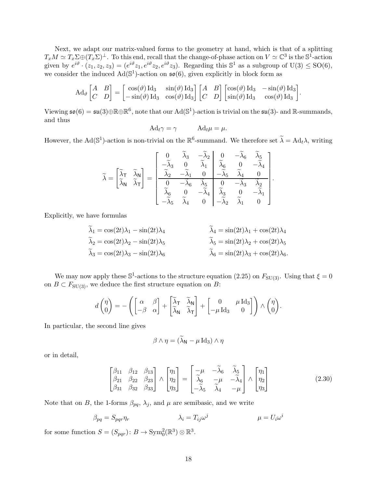Next, we adapt our matrix-valued forms to the geometry at hand, which is that of a splitting  $T_xM \simeq T_x\Sigma \oplus (T_x\Sigma)^{\perp}$ . To this end, recall that the change-of-phase action on  $V \simeq \mathbb{C}^3$  is the  $\mathbb{S}^1$ -action given by  $e^{i\vartheta} \cdot (z_1, z_2, z_3) = (e^{i\vartheta} z_1, e^{i\vartheta} z_2, e^{i\vartheta} z_3)$ . Regarding this  $\mathbb{S}^1$  as a subgroup of  $U(3) \le SO(6)$ , we consider the induced  $Ad(S^1)$ -action on  $\mathfrak{so}(6)$ , given explicitly in block form as

$$
\mathrm{Ad}_{\vartheta}\begin{bmatrix} A & B \\ C & D \end{bmatrix} = \begin{bmatrix} \cos(\vartheta) \mathrm{Id}_3 & \sin(\vartheta) \mathrm{Id}_3 \\ -\sin(\vartheta) \mathrm{Id}_3 & \cos(\vartheta) \mathrm{Id}_3 \end{bmatrix} \begin{bmatrix} A & B \\ C & D \end{bmatrix} \begin{bmatrix} \cos(\vartheta) \mathrm{Id}_3 & -\sin(\vartheta) \mathrm{Id}_3 \\ \sin(\vartheta) \mathrm{Id}_3 & \cos(\vartheta) \mathrm{Id}_3 \end{bmatrix}.
$$

Viewing  $\mathfrak{so}(6) = \mathfrak{su}(3) \oplus \mathbb{R} \oplus \mathbb{R}^6$ , note that our  $\text{Ad}(\mathbb{S}^1)$ -action is trivial on the  $\mathfrak{su}(3)$ - and  $\mathbb{R}$ -summands, and thus

$$
Ad_t \gamma = \gamma \qquad Ad_t \mu = \mu.
$$

However, the Ad( $\mathbb{S}^1$ )-action is non-trivial on the  $\mathbb{R}^6$ -summand. We therefore set  $\widetilde{\lambda} = \text{Ad}_t \lambda$ , writing

$$
\widetilde{\lambda} = \begin{bmatrix} \widetilde{\lambda}_{\mathsf{T}} & \widetilde{\lambda}_{\mathsf{N}} \\ \widetilde{\lambda}_{\mathsf{N}} & \widetilde{\lambda}_{\mathsf{T}} \end{bmatrix} = \begin{bmatrix} 0 & \widetilde{\lambda}_{3} & -\widetilde{\lambda}_{2} & 0 & -\widetilde{\lambda}_{6} & \widetilde{\lambda}_{5} \\ -\widetilde{\lambda}_{3} & 0 & \widetilde{\lambda}_{1} & \widetilde{\lambda}_{6} & 0 & -\widetilde{\lambda}_{4} \\ \widetilde{\lambda}_{2} & -\widetilde{\lambda}_{1} & 0 & -\widetilde{\lambda}_{5} & \widetilde{\lambda}_{4} & 0 \\ 0 & -\widetilde{\lambda}_{6} & \widetilde{\lambda}_{5} & 0 & -\widetilde{\lambda}_{3} & \widetilde{\lambda}_{2} \\ \widetilde{\lambda}_{6} & 0 & -\widetilde{\lambda}_{4} & \widetilde{\lambda}_{3} & 0 & -\widetilde{\lambda}_{1} \\ -\widetilde{\lambda}_{5} & \widetilde{\lambda}_{4} & 0 & -\widetilde{\lambda}_{2} & \widetilde{\lambda}_{1} & 0 \end{bmatrix}.
$$

Explicitly, we have formulas

$$
\lambda_1 = \cos(2t)\lambda_1 - \sin(2t)\lambda_4
$$
  
\n
$$
\lambda_2 = \cos(2t)\lambda_2 - \sin(2t)\lambda_5
$$
  
\n
$$
\lambda_3 = \cos(2t)\lambda_3 - \sin(2t)\lambda_6
$$
  
\n
$$
\lambda_4 = \sin(2t)\lambda_1 + \cos(2t)\lambda_4
$$
  
\n
$$
\lambda_5 = \sin(2t)\lambda_2 + \cos(2t)\lambda_5
$$
  
\n
$$
\lambda_6 = \sin(2t)\lambda_3 + \cos(2t)\lambda_6
$$

We may now apply these  $\mathbb{S}^1$ -actions to the structure equation [\(2.25\)](#page-14-1) on  $F_{\mathrm{SU}(3)}$ . Using that  $\xi = 0$ on  $B \subset F_{SU(3)}$ , we deduce the first structure equation on B:

$$
d\begin{pmatrix} \eta \\ 0 \end{pmatrix} = -\left( \begin{bmatrix} \alpha & \beta \\ -\beta & \alpha \end{bmatrix} + \begin{bmatrix} \widetilde{\lambda}_{\mathsf{T}} & \widetilde{\lambda}_{\mathsf{N}} \\ \widetilde{\lambda}_{\mathsf{N}} & \widetilde{\lambda}_{\mathsf{T}} \end{bmatrix} + \begin{bmatrix} 0 & \mu \operatorname{Id}_3 \\ -\mu \operatorname{Id}_3 & 0 \end{bmatrix} \right) \wedge \begin{pmatrix} \eta \\ 0 \end{pmatrix}.
$$

In particular, the second line gives

<span id="page-17-0"></span>
$$
\beta \wedge \eta = (\widetilde{\lambda}_{\mathsf{N}} - \mu \operatorname{Id}_3) \wedge \eta
$$

or in detail,

$$
\begin{bmatrix}\n\beta_{11} & \beta_{12} & \beta_{13} \\
\beta_{21} & \beta_{22} & \beta_{23} \\
\beta_{31} & \beta_{32} & \beta_{33}\n\end{bmatrix}\n\wedge\n\begin{bmatrix}\n\eta_1 \\
\eta_2 \\
\eta_3\n\end{bmatrix} =\n\begin{bmatrix}\n-\mu & -\tilde{\lambda}_6 & \tilde{\lambda}_5 \\
\tilde{\lambda}_6 & -\mu & -\tilde{\lambda}_4 \\
-\tilde{\lambda}_5 & \tilde{\lambda}_4 & -\mu\n\end{bmatrix}\n\wedge\n\begin{bmatrix}\n\eta_1 \\
\eta_2 \\
\eta_3\n\end{bmatrix}
$$
\n(2.30)

Note that on B, the 1-forms  $\beta_{pq}$ ,  $\lambda_j$ , and  $\mu$  are semibasic, and we write

$$
\beta_{pq} = S_{pqr}\eta_r \qquad \lambda_i = T_{ij}\omega^j \qquad \qquad \mu = U_i\omega^i
$$

for some function  $S = (S_{pqr}) \colon B \to \text{Sym}_0^2(\mathbb{R}^3) \otimes \mathbb{R}^3$ .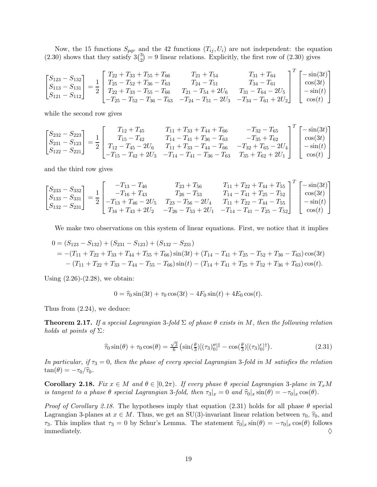Now, the 15 functions  $S_{pqr}$  and the 42 functions  $(T_{ij}, U_i)$  are not independent: the equation  $(2.30)$  shows that they satisfy  $3\binom{3}{2}$  $_2^3$  = 9 linear relations. Explicitly, the first row of [\(2.30\)](#page-17-0) gives

$$
\begin{bmatrix} S_{123} - S_{132} \ S_{113} - S_{131} \ S_{121} - S_{112} \end{bmatrix} = \frac{1}{2} \begin{bmatrix} T_{22} + T_{33} + T_{55} + T_{66} & T_{21} + T_{54} & T_{31} + T_{64} \ T_{25} - T_{52} + T_{36} - T_{63} & T_{24} - T_{51} & T_{34} - T_{61} \ T_{22} + T_{33} - T_{55} - T_{66} & T_{21} - T_{54} + 2U_6 & T_{31} - T_{64} - 2U_5 \ -T_{25} - T_{52} - T_{36} - T_{63} & -T_{24} - T_{51} - 2U_3 & -T_{34} - T_{61} + 2U_2 \end{bmatrix}^T \begin{bmatrix} -\sin(3t) \\ \cos(3t) \\ -\sin(t) \\ \cos(t) \end{bmatrix}
$$

while the second row gives

$$
\begin{bmatrix} S_{232} - S_{223} \ S_{231} - S_{123} \ S_{122} - S_{221} \end{bmatrix} = \frac{1}{2} \begin{bmatrix} T_{12} + T_{45} & T_{11} + T_{33} + T_{44} + T_{66} & -T_{32} - T_{65} \ T_{15} - T_{42} & T_{14} - T_{41} + T_{36} - T_{63} & -T_{35} + T_{62} \ T_{12} - T_{45} - 2U_6 & T_{11} + T_{33} - T_{44} - T_{66} & -T_{32} + T_{65} - 2U_4 \ -T_{15} - T_{42} + 2U_3 & -T_{14} - T_{41} - T_{36} - T_{63} & T_{35} + T_{62} + 2U_1 \end{bmatrix}^T \begin{bmatrix} -\sin(3t) \\ \cos(3t) \\ -\sin(t) \\ \cos(t) \end{bmatrix}
$$

and the third row gives

$$
\begin{bmatrix} S_{233} - S_{332} \ S_{133} - S_{331} \ S_{132} - S_{231} \end{bmatrix} = \frac{1}{2} \begin{bmatrix} -T_{13} - T_{46} & T_{23} + T_{56} & T_{11} + T_{22} + T_{44} + T_{55} \ -T_{16} + T_{43} & T_{26} - T_{53} & T_{14} - T_{41} + T_{25} - T_{52} \ -T_{13} + T_{46} - 2U_5 & T_{23} - T_{56} - 2U_4 & T_{11} + T_{22} - T_{44} - T_{55} \ T_{16} + T_{43} + 2U_2 & -T_{26} - T_{53} + 2U_1 & -T_{14} - T_{41} - T_{25} - T_{52} \end{bmatrix}^T \begin{bmatrix} -\sin(3t) \\ \cos(3t) \\ -\sin(t) \\ \cos(t) \end{bmatrix}
$$

We make two observations on this system of linear equations. First, we notice that it implies

$$
0 = (S_{123} - S_{132}) + (S_{231} - S_{123}) + (S_{132} - S_{231})
$$
  
= -(T<sub>11</sub> + T<sub>22</sub> + T<sub>33</sub> + T<sub>44</sub> + T<sub>55</sub> + T<sub>66</sub>) sin(3t) + (T<sub>14</sub> - T<sub>41</sub> + T<sub>25</sub> - T<sub>52</sub> + T<sub>36</sub> - T<sub>63</sub>) cos(3t)  
-(T<sub>11</sub> + T<sub>22</sub> + T<sub>33</sub> - T<sub>44</sub> - T<sub>55</sub> - T<sub>66</sub>) sin(t) - (T<sub>14</sub> + T<sub>41</sub> + T<sub>25</sub> + T<sub>52</sub> + T<sub>36</sub> + T<sub>63</sub>) cos(t).

Using  $(2.26)-(2.28)$  $(2.26)-(2.28)$ , we obtain:

$$
0 = \hat{\tau}_0 \sin(3t) + \tau_0 \cos(3t) - 4F_0 \sin(t) + 4E_0 \cos(t).
$$

Thus from [\(2.24\)](#page-13-3), we deduce:

<span id="page-18-0"></span>**Theorem 2.17.** If a special Lagrangian 3-fold  $\Sigma$  of phase  $\theta$  exists in M, then the following relation holds at points of  $\Sigma$ :

<span id="page-18-2"></span>
$$
\hat{\tau}_0 \sin(\theta) + \tau_0 \cos(\theta) = \frac{\sqrt{3}}{6} \left( \sin(\frac{\theta}{3}) [(\tau_3)''']^{\ddagger} - \cos(\frac{\theta}{3}) [(\tau_3)'_0]^{\dagger} \right). \tag{2.31}
$$

In particular, if  $\tau_3 = 0$ , then the phase of every special Lagrangian 3-fold in M satisfies the relation  $\tan(\theta) = -\tau_0/\hat{\tau}_0.$ 

<span id="page-18-1"></span>Corollary 2.18. Fix  $x \in M$  and  $\theta \in [0, 2\pi)$ . If every phase  $\theta$  special Lagrangian 3-plane in  $T_xM$ is tangent to a phase  $\theta$  special Lagrangian 3-fold, then  $\tau_3|_x = 0$  and  $\hat{\tau}_0|_x \sin(\theta) = -\tau_0|_x \cos(\theta)$ .

*Proof of Corollary [2.18.](#page-18-1)* The hypotheses imply that equation [\(2.31\)](#page-18-2) holds for all phase  $\theta$  special Lagrangian 3-planes at  $x \in M$ . Thus, we get an SU(3)-invariant linear relation between  $\tau_0$ ,  $\hat{\tau}_0$ , and  $τ_3$ . This implies that  $τ_3 = 0$  by Schur's Lemma. The statement  $\hat{τ}_0|_x \sin(\theta) = -τ_0|_x \cos(\theta)$  follows immediately.  $\diamond$  $\blacksquare$  immediately.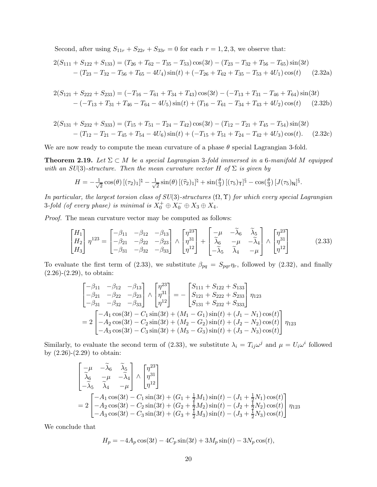<span id="page-19-2"></span>Second, after using  $S_{11r} + S_{22r} + S_{33r} = 0$  for each  $r = 1, 2, 3$ , we observe that:

$$
2(S_{111} + S_{122} + S_{133}) = (T_{26} + T_{62} - T_{35} - T_{53})\cos(3t) - (T_{23} - T_{32} + T_{56} - T_{65})\sin(3t) - (T_{23} - T_{32} - T_{56} + T_{65} - 4U_4)\sin(t) + (-T_{26} + T_{62} + T_{35} - T_{53} + 4U_1)\cos(t)
$$
(2.32a)

$$
2(S_{121} + S_{222} + S_{233}) = (-T_{16} - T_{61} + T_{34} + T_{43})\cos(3t) - (-T_{13} + T_{31} - T_{46} + T_{64})\sin(3t) - (-T_{13} + T_{31} + T_{46} - T_{64} - 4U_5)\sin(t) + (T_{16} - T_{61} - T_{34} + T_{43} + 4U_2)\cos(t) \tag{2.32b}
$$

$$
2(S_{131} + S_{232} + S_{333}) = (T_{15} + T_{51} - T_{24} - T_{42})\cos(3t) - (T_{12} - T_{21} + T_{45} - T_{54})\sin(3t) - (T_{12} - T_{21} - T_{45} + T_{54} - 4U_6)\sin(t) + (-T_{15} + T_{51} + T_{24} - T_{42} + 4U_3)\cos(t). \tag{2.32c}
$$

We are now ready to compute the mean curvature of a phase  $\theta$  special Lagrangian 3-fold.

<span id="page-19-0"></span>**Theorem 2.19.** Let  $\Sigma \subset M$  be a special Lagrangian 3-fold immersed in a 6-manifold M equipped with an  $SU(3)$ -structure. Then the mean curvature vector H of  $\Sigma$  is given by

$$
H = -\frac{1}{\sqrt{2}}\cos(\theta)\left[ (\tau_2)_1\right]^{\frac{1}{4}} - \frac{1}{\sqrt{2}}\sin(\theta)\left[ (\widehat{\tau}_2)_1\right]^{\frac{1}{4}} + \sin(\frac{\theta}{3})\left[ (\tau_5)_\mathsf{T}\right]^{\frac{5}{3}} - \cos(\frac{\theta}{3})\left[ J(\tau_5)_\mathsf{N}\right]^{\frac{5}{3}}.
$$

In particular, the largest torsion class of  $SU(3)$ -structures  $(\Omega, \Upsilon)$  for which every special Lagrangian 3-fold (of every phase) is minimal is  $X_0^+ \oplus X_0^- \oplus X_3 \oplus X_4$ .

Proof. The mean curvature vector may be computed as follows:

$$
\begin{bmatrix} H_1 \\ H_2 \\ H_3 \end{bmatrix} \eta^{123} = \begin{bmatrix} -\beta_{11} & -\beta_{12} & -\beta_{13} \\ -\beta_{21} & -\beta_{22} & -\beta_{23} \\ -\beta_{31} & -\beta_{32} & -\beta_{33} \end{bmatrix} \wedge \begin{bmatrix} \eta^{23} \\ \eta^{31} \\ \eta^{12} \end{bmatrix} + \begin{bmatrix} -\mu & -\tilde{\lambda}_6 & \tilde{\lambda}_5 \\ \tilde{\lambda}_6 & -\mu & -\tilde{\lambda}_4 \\ -\tilde{\lambda}_5 & \tilde{\lambda}_4 & -\mu \end{bmatrix} \wedge \begin{bmatrix} \eta^{23} \\ \eta^{31} \\ \eta^{12} \end{bmatrix}
$$
(2.33)

To evaluate the first term of [\(2.33\)](#page-19-1), we substitute  $\beta_{pq} = S_{pqr}\eta_r$ , followed by [\(2.32\)](#page-19-2), and finally  $(2.26)-(2.29)$  $(2.26)-(2.29)$  $(2.26)-(2.29)$ , to obtain:

<span id="page-19-1"></span>
$$
\begin{bmatrix}\n-\beta_{11} & -\beta_{12} & -\beta_{13} \\
-\beta_{21} & -\beta_{22} & -\beta_{23} \\
-\beta_{31} & -\beta_{32} & -\beta_{33}\n\end{bmatrix}\n\wedge\n\begin{bmatrix}\n\eta^{23} \\
\eta^{31} \\
\eta^{12}\n\end{bmatrix} = -\begin{bmatrix}\nS_{111} + S_{122} + S_{133} \\
S_{121} + S_{222} + S_{233} \\
S_{131} + S_{232} + S_{333}\n\end{bmatrix}\n\eta_{123}
$$
\n
$$
= 2 \begin{bmatrix}\n-A_1 \cos(3t) - C_1 \sin(3t) + (M_1 - G_1) \sin(t) + (J_1 - N_1) \cos(t) \\
-A_2 \cos(3t) - C_2 \sin(3t) + (M_2 - G_2) \sin(t) + (J_2 - N_2) \cos(t) \\
-A_3 \cos(3t) - C_3 \sin(3t) + (M_3 - G_3) \sin(t) + (J_3 - N_3) \cos(t)\n\end{bmatrix}\n\eta_{123}
$$

Similarly, to evaluate the second term of [\(2.33\)](#page-19-1), we substitute  $\lambda_i = T_{ij}\omega^j$  and  $\mu = U_i\omega^i$  followed by  $(2.26)-(2.29)$  $(2.26)-(2.29)$  to obtain:

$$
\begin{bmatrix}\n-\mu & -\tilde{\lambda}_{6} & \tilde{\lambda}_{5} \\
\tilde{\lambda}_{6} & -\mu & -\tilde{\lambda}_{4} \\
-\tilde{\lambda}_{5} & \tilde{\lambda}_{4} & -\mu\n\end{bmatrix}\n\wedge\n\begin{bmatrix}\n\eta^{23} \\
\eta^{31} \\
\eta^{12}\n\end{bmatrix}
$$
\n  
\n
$$
= 2 \begin{bmatrix}\n-A_{1} \cos(3t) - C_{1} \sin(3t) + (G_{1} + \frac{1}{2}M_{1}) \sin(t) - (J_{1} + \frac{1}{2}N_{1}) \cos(t) \\
-A_{2} \cos(3t) - C_{2} \sin(3t) + (G_{2} + \frac{1}{2}M_{2}) \sin(t) - (J_{2} + \frac{1}{2}N_{2}) \cos(t) \\
-A_{3} \cos(3t) - C_{3} \sin(3t) + (G_{3} + \frac{1}{2}M_{3}) \sin(t) - (J_{3} + \frac{1}{2}N_{3}) \cos(t)\n\end{bmatrix}
$$
\n  
\n $\eta_{123}$ 

We conclude that

$$
H_p = -4A_p \cos(3t) - 4C_p \sin(3t) + 3M_p \sin(t) - 3N_p \cos(t),
$$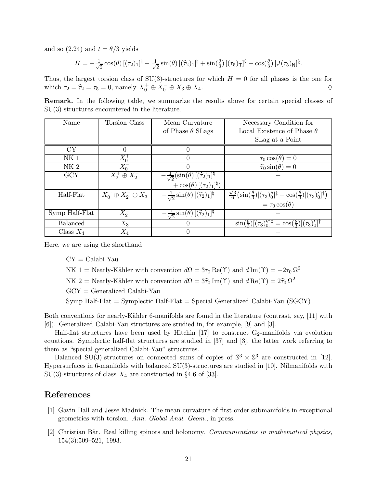and so  $(2.24)$  and  $t = \theta/3$  yields

$$
H = -\frac{1}{\sqrt{2}}\cos(\theta)\left[ (\tau_2)_1\right]^{\frac{1}{4}} - \frac{1}{\sqrt{2}}\sin(\theta)\left[ (\widehat{\tau}_2)_1\right]^{\frac{1}{4}} + \sin(\frac{\theta}{3})\left[ (\tau_5)_\mathsf{T}\right]^{\frac{5}{3}} - \cos(\frac{\theta}{3})\left[ J(\tau_5)_\mathsf{N}\right]^{\frac{5}{3}}.
$$

Thus, the largest torsion class of SU(3)-structures for which  $H = 0$  for all phases is the one for which  $\tau_2 = \hat{\tau}_2 = \tau_5 = 0$ , namely  $X_0^+ \oplus X_0^- \oplus X_3 \oplus X_4$ .

Remark. In the following table, we summarize the results above for certain special classes of SU(3)-structures encountered in the literature.

| Name            | Torsion Class                 | Mean Curvature                                                                                                                                                 | Necessary Condition for                                                                                                                                                                                       |
|-----------------|-------------------------------|----------------------------------------------------------------------------------------------------------------------------------------------------------------|---------------------------------------------------------------------------------------------------------------------------------------------------------------------------------------------------------------|
|                 |                               | of Phase $\theta$ SLags                                                                                                                                        | Local Existence of Phase $\theta$                                                                                                                                                                             |
|                 |                               |                                                                                                                                                                | SLag at a Point                                                                                                                                                                                               |
| <b>CY</b>       |                               | 0                                                                                                                                                              |                                                                                                                                                                                                               |
| NK <sub>1</sub> | $X_0^+$                       | 0                                                                                                                                                              | $\tau_0 \cos(\theta) = 0$                                                                                                                                                                                     |
| $\rm NK$ 2      | $\bar{X}_0^-$                 | 0                                                                                                                                                              | $\hat{\tau}_0 \sin(\theta) = 0$                                                                                                                                                                               |
| <b>GCY</b>      | $X_2^+\oplus X_2^-$           | $-\frac{1}{\sqrt{2}}\left(\sin(\theta)\left[(\widehat{\tau}_2)_1\right]^{\natural} \right. \nonumber \ +\cos(\theta)\left[(\tau_2)_1\right]^{\natural}\right)$ |                                                                                                                                                                                                               |
|                 |                               |                                                                                                                                                                |                                                                                                                                                                                                               |
| Half-Flat       | $X_0^+\oplus X_2^-\oplus X_3$ | $-\frac{1}{\sqrt{2}}\sin(\theta)\left[(\widehat{\tau}_2)_1\right]^{\natural}$                                                                                  | $\frac{\sqrt{3}}{6} \left( \sin\left(\frac{\theta}{3}\right) \left[ (\tau_3)^{\prime\prime} _0 \right]^\dagger - \cos\left(\frac{\theta}{3}\right) \left[ (\tau_3)^{\prime\prime} _0 \right]^\dagger \right)$ |
|                 |                               |                                                                                                                                                                | $= \tau_0 \cos(\theta)$                                                                                                                                                                                       |
| Symp Half-Flat  | $X_2^-$                       | $-\frac{1}{\sqrt{2}}\sin(\theta)\left[(\hat{\tau}_2)_1\right]^{\natural}$                                                                                      |                                                                                                                                                                                                               |
| <b>Balanced</b> | $X_3$                         | 0                                                                                                                                                              | $\sin(\frac{\theta}{3})[(\tau_3)''_0]^{\ddagger} = \cos(\frac{\theta}{3})[(\tau_3)'_0]^{\dagger}$                                                                                                             |
| Class $X_4$     | $X_4$                         | 0                                                                                                                                                              |                                                                                                                                                                                                               |

Here, we are using the shorthand

 $CY = Calabi-Yau$ 

NK 1 = Nearly-Kähler with convention  $d\Omega = 3\tau_0 \operatorname{Re}(\Upsilon)$  and  $d\operatorname{Im}(\Upsilon) = -2\tau_0 \Omega^2$ 

NK 2 = Nearly-Kähler with convention  $d\Omega = 3\hat{\tau}_0 \text{Im}(\Upsilon)$  and  $d \text{Re}(\Upsilon) = 2\hat{\tau}_0 \Omega^2$ 

GCY = Generalized Calabi-Yau

Symp Half-Flat = Symplectic Half-Flat = Special Generalized Calabi-Yau (SGCY)

Both conventions for nearly-Kähler 6-manifolds are found in the literature (contrast, say, [\[11\]](#page-21-13) with [\[6\]](#page-21-14)). Generalized Calabi-Yau structures are studied in, for example, [\[9\]](#page-21-15) and [\[3\]](#page-21-10).

Half-flat structures have been used by Hitchin  $[17]$  to construct  $G_2$ -manifolds via evolution equations. Symplectic half-flat structures are studied in [\[37\]](#page-22-15) and [\[3\]](#page-21-10), the latter work referring to them as "special generalized Calabi-Yau" structures.

Balanced SU(3)-structures on connected sums of copies of  $\mathbb{S}^3 \times \mathbb{S}^3$  are constructed in [\[12\]](#page-21-16). Hypersurfaces in 6-manifolds with balanced SU(3)-structures are studied in [\[10\]](#page-21-17). Nilmanifolds with SU(3)-structures of class  $X_4$  are constructed in §4.6 of [\[33\]](#page-22-16).

# <span id="page-20-2"></span><span id="page-20-0"></span>References

- [1] Gavin Ball and Jesse Madnick. The mean curvature of first-order submanifolds in exceptional geometries with torsion. Ann. Global Anal. Geom., in press.
- <span id="page-20-1"></span>[2] Christian Bär. Real killing spinors and holonomy. Communications in mathematical physics, 154(3):509–521, 1993.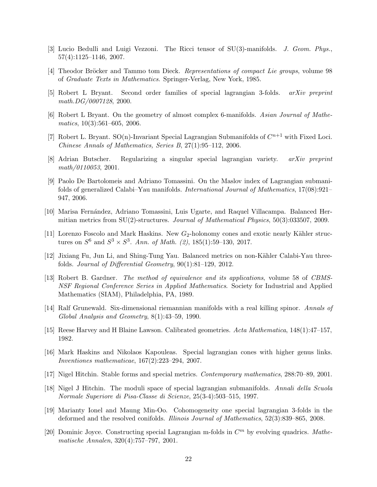- <span id="page-21-12"></span><span id="page-21-10"></span>[3] Lucio Bedulli and Luigi Vezzoni. The Ricci tensor of SU(3)-manifolds. J. Geom. Phys., 57(4):1125–1146, 2007.
- <span id="page-21-1"></span>[4] Theodor Bröcker and Tammo tom Dieck. Representations of compact Lie groups, volume 98 of Graduate Texts in Mathematics. Springer-Verlag, New York, 1985.
- <span id="page-21-14"></span>[5] Robert L Bryant. Second order families of special lagrangian 3-folds. arXiv preprint math.DG/0007128, 2000.
- <span id="page-21-2"></span>[6] Robert L Bryant. On the geometry of almost complex 6-manifolds. Asian Journal of Mathematics,  $10(3):561-605$ ,  $2006$ .
- <span id="page-21-6"></span>[7] Robert L. Bryant.  $SO(n)$ -Invariant Special Lagrangian Submanifolds of  $C^{n+1}$  with Fixed Loci. Chinese Annals of Mathematics, Series B, 27(1):95–112, 2006.
- <span id="page-21-15"></span>[8] Adrian Butscher. Regularizing a singular special lagrangian variety. arXiv preprint math/0110053, 2001.
- [9] Paolo De Bartolomeis and Adriano Tomassini. On the Maslov index of Lagrangian submanifolds of generalized Calabi–Yau manifolds. International Journal of Mathematics, 17(08):921– 947, 2006.
- <span id="page-21-17"></span>[10] Marisa Fernández, Adriano Tomassini, Luis Ugarte, and Raquel Villacampa. Balanced Hermitian metrics from SU(2)-structures. Journal of Mathematical Physics, 50(3):033507, 2009.
- <span id="page-21-13"></span>[11] Lorenzo Foscolo and Mark Haskins. New  $G_2$ -holonomy cones and exotic nearly Kähler structures on  $S^6$  and  $S^3 \times S^3$ . Ann. of Math. (2), 185(1):59–130, 2017.
- <span id="page-21-16"></span>[12] Jixiang Fu, Jun Li, and Shing-Tung Yau. Balanced metrics on non-Kähler Calabi-Yau threefolds. Journal of Differential Geometry, 90(1):81–129, 2012.
- <span id="page-21-11"></span>[13] Robert B. Gardner. The method of equivalence and its applications, volume 58 of CBMS-NSF Regional Conference Series in Applied Mathematics. Society for Industrial and Applied Mathematics (SIAM), Philadelphia, PA, 1989.
- <span id="page-21-8"></span><span id="page-21-0"></span>[14] Ralf Grunewald. Six-dimensional riemannian manifolds with a real killing spinor. Annals of Global Analysis and Geometry, 8(1):43–59, 1990.
- <span id="page-21-5"></span>[15] Reese Harvey and H Blaine Lawson. Calibrated geometries. Acta Mathematica, 148(1):47–157, 1982.
- <span id="page-21-9"></span>[16] Mark Haskins and Nikolaos Kapouleas. Special lagrangian cones with higher genus links. Inventiones mathematicae, 167(2):223–294, 2007.
- <span id="page-21-7"></span>[17] Nigel Hitchin. Stable forms and special metrics. Contemporary mathematics, 288:70–89, 2001.
- [18] Nigel J Hitchin. The moduli space of special lagrangian submanifolds. Annali della Scuola Normale Superiore di Pisa-Classe di Scienze, 25(3-4):503–515, 1997.
- <span id="page-21-4"></span>[19] Marianty Ionel and Maung Min-Oo. Cohomogeneity one special lagrangian 3-folds in the deformed and the resolved conifolds. Illinois Journal of Mathematics, 52(3):839–865, 2008.
- <span id="page-21-3"></span>[20] Dominic Joyce. Constructing special Lagrangian m-folds in  $C<sup>m</sup>$  by evolving quadrics. Mathematische Annalen, 320(4):757–797, 2001.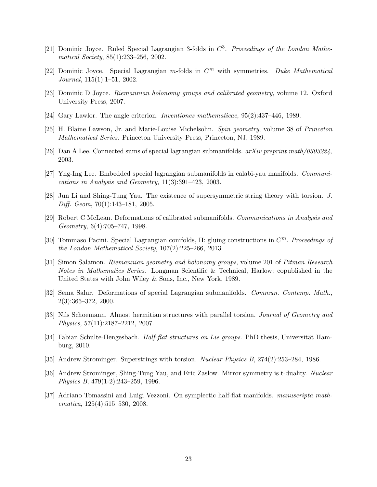- <span id="page-22-1"></span><span id="page-22-0"></span>[21] Dominic Joyce. Ruled Special Lagrangian 3-folds in  $C^3$ . Proceedings of the London Mathematical Society, 85(1):233–256, 2002.
- <span id="page-22-14"></span>[22] Dominic Joyce. Special Lagrangian  $m$ -folds in  $C<sup>m</sup>$  with symmetries. Duke Mathematical Journal, 115(1):1–51, 2002.
- <span id="page-22-2"></span>[23] Dominic D Joyce. Riemannian holonomy groups and calibrated geometry, volume 12. Oxford University Press, 2007.
- <span id="page-22-12"></span>[24] Gary Lawlor. The angle criterion. Inventiones mathematicae, 95(2):437–446, 1989.
- <span id="page-22-3"></span>[25] H. Blaine Lawson, Jr. and Marie-Louise Michelsohn. Spin geometry, volume 38 of Princeton Mathematical Series. Princeton University Press, Princeton, NJ, 1989.
- <span id="page-22-4"></span>[26] Dan A Lee. Connected sums of special lagrangian submanifolds.  $arXiv$  preprint math/0303224, 2003.
- <span id="page-22-9"></span>[27] Yng-Ing Lee. Embedded special lagrangian submanifolds in calabi-yau manifolds. Communications in Analysis and Geometry, 11(3):391–423, 2003.
- <span id="page-22-6"></span>[28] Jun Li and Shing-Tung Yau. The existence of supersymmetric string theory with torsion. J. Diff. Geom, 70(1):143–181, 2005.
- [29] Robert C McLean. Deformations of calibrated submanifolds. Communications in Analysis and Geometry, 6(4):705–747, 1998.
- <span id="page-22-5"></span>[30] Tommaso Pacini. Special Lagrangian conifolds, II: gluing constructions in  $C<sup>m</sup>$ . Proceedings of the London Mathematical Society, 107(2):225–266, 2013.
- <span id="page-22-13"></span>[31] Simon Salamon. Riemannian geometry and holonomy groups, volume 201 of Pitman Research Notes in Mathematics Series. Longman Scientific & Technical, Harlow; copublished in the United States with John Wiley & Sons, Inc., New York, 1989.
- <span id="page-22-16"></span><span id="page-22-10"></span>[32] Sema Salur. Deformations of special Lagrangian submanifolds. Commun. Contemp. Math., 2(3):365–372, 2000.
- [33] Nils Schoemann. Almost hermitian structures with parallel torsion. Journal of Geometry and Physics, 57(11):2187–2212, 2007.
- <span id="page-22-11"></span><span id="page-22-8"></span>[34] Fabian Schulte-Hengesbach. *Half-flat structures on Lie groups*. PhD thesis, Universität Hamburg, 2010.
- <span id="page-22-7"></span>[35] Andrew Strominger. Superstrings with torsion. Nuclear Physics B, 274(2):253–284, 1986.
- [36] Andrew Strominger, Shing-Tung Yau, and Eric Zaslow. Mirror symmetry is t-duality. Nuclear Physics B, 479(1-2):243–259, 1996.
- <span id="page-22-15"></span>[37] Adriano Tomassini and Luigi Vezzoni. On symplectic half-flat manifolds. manuscripta mathematica, 125(4):515–530, 2008.